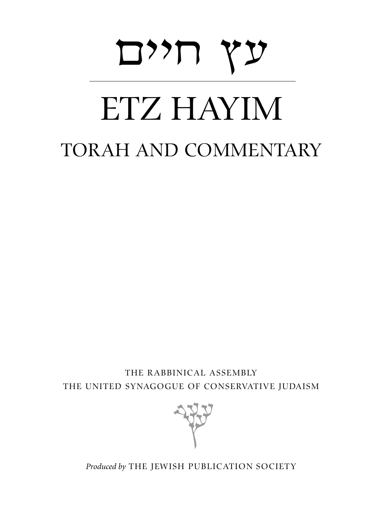# oh<br>TZ HAYIN: ETZ HAYIM TORAH AND COMMENTARY

THE RABBINICAL ASSEMBLY THE UNITED SYNAGOGUE OF CONSERVATIVE JUDAISM



*Produced by* THE JEWISH PUBLICATION SOCIETY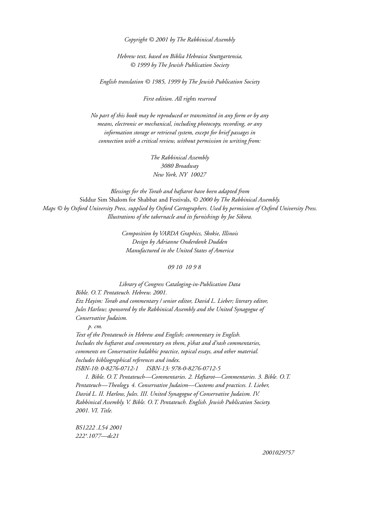*Copyright © 2001 by The Rabbinical Assembly* 

*Hebrew text, based on Biblia Hebraica Stuttgartensia, © 1999 by The Jewish Publication Society*

*English translation © 1985, 1999 by The Jewish Publication Society*

*First edition. All rights reserved*

*No part of this book may be reproduced or transmitted in any form or by any means, electronic or mechanical, including photocopy, recording, or any information storage or retrieval system, except for brief passages in connection with a critical review, without permission in writing from:*

> *The Rabbinical Assembly 3080 Broadway New York, NY 10027*

*Blessings for the Torah and haftarot have been adapted from*  Siddur Sim Shalom for Shabbat and Festivals, *© 2000 by The Rabbinical Assembly. Maps © by Oxford University Press, supplied by Oxford Cartographers. Used by permission of Oxford University Press. Illustrations of the tabernacle and its furnishings by Joe Sikora.*

> *Composition by VARDA Graphics, Skokie, Illinois Design by Adrianne Onderdonk Dudden Manufactured in the United States of America*

> > *09 10 10 9 8*

*Library of Congress Cataloging-in-Publication Data Bible. O.T. Pentateuch. Hebrew. 2001. Etz Hayim: Torah and commentary / senior editor, David L. Lieber; literary editor, Jules Harlow; sponsored by the Rabbinical Assembly and the United Synagogue of Conservative Judaism.*

*p. cm.*

*Text of the Pentateuch in Hebrew and English; commentary in English. Includes the haftarot and commentary on them, p'shat and d'rash commentaries, comments on Conservative halakhic practice, topical essays, and other material. Includes bibliographical references and index. ISBN-10: 0-8276-0712-1 ISBN-13: 978-0-8276-0712-5*

*1. Bible. O.T. Pentateuch—Commentaries. 2. Haftarot—Commentaries. 3. Bible. O.T. Pentateuch—Theology. 4. Conservative Judaism—Customs and practices. I. Lieber, David L. II. Harlow, Jules. III. United Synagogue of Conservative Judaism. IV. Rabbinical Assembly. V. Bible. O.T. Pentateuch. English. Jewish Publication Society. 2001. VI. Title.*

*BS1222 .L54 2001 222* .*1077—dc21* '

*2001029757*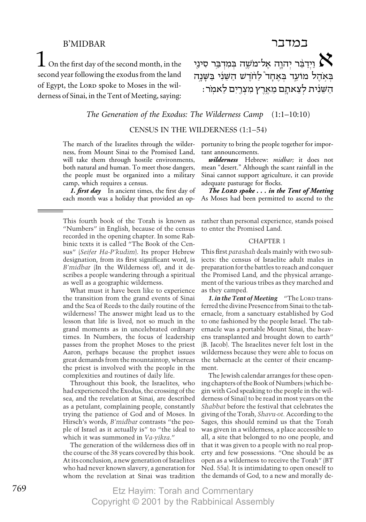# **B'MIDBAR**

יִיְדַבֵּר יְהוֶה אֶל־מֹשֶׁה בְּמִדְבַּר סִינַי  $\boldsymbol{\chi}$ בְּאָהֵל מוֹעֵד בְּאֵחָד לַחֹדֵשׁ הַשֵּׁנִי בַּשָּׁנָה הַשֶּׁנִית לִצְאתָם מָאָרֶץ מִצְרֵיִם לֵאמִר:

במדבר

The Generation of the Exodus: The Wilderness Camp  $(1:1-10:10)$ 

CENSUS IN THE WILDERNESS (1:1-54)

The march of the Israelites through the wilderness, from Mount Sinai to the Promised Land, will take them through hostile environments, both natural and human. To meet those dangers, the people must be organized into a military camp, which requires a census.

**1. first day** In ancient times, the first day of each month was a holiday that provided an op-

This fourth book of the Torah is known as "Numbers" in English, because of the census recorded in the opening chapter. In some Rabbinic texts it is called "The Book of the Census" (Seifer Ha-P'kudim). Its proper Hebrew designation, from its first significant word, is B'midbar (In the Wilderness of), and it describes a people wandering through a spiritual as well as a geographic wilderness.

What must it have been like to experience the transition from the grand events of Sinai and the Sea of Reeds to the daily routine of the wilderness? The answer might lead us to the lesson that life is lived, not so much in the grand moments as in uncelebrated ordinary times. In Numbers, the focus of leadership passes from the prophet Moses to the priest Aaron, perhaps because the prophet issues great demands from the mountaintop, whereas the priest is involved with the people in the complexities and routines of daily life.

Throughout this book, the Israelites, who had experienced the Exodus, the crossing of the sea, and the revelation at Sinai, are described as a petulant, complaining people, constantly trying the patience of God and of Moses. In Hirsch's words, *B'midbar* contrasts "the people of Israel as it actually is" to "the ideal to which it was summoned in Va-yikra."

The generation of the wilderness dies off in the course of the 38 years covered by this book. At its conclusion, a new generation of Israelites who had never known slavery, a generation for whom the revelation at Sinai was tradition portunity to bring the people together for important announcements.

wilderness Hebrew: midbar; it does not mean "desert." Although the scant rainfall in the Sinai cannot support agriculture, it can provide adequate pasturage for flocks.

The LORD spoke ... in the Tent of Meeting As Moses had been permitted to ascend to the

rather than personal experience, stands poised to enter the Promised Land.

#### **CHAPTER 1**

This first *parashah* deals mainly with two subjects: the census of Israelite adult males in preparation for the battles to reach and conquer the Promised Land, and the physical arrangement of the various tribes as they marched and as they camped.

1. in the Tent of Meeting "The LORD transferred the divine Presence from Sinai to the tabernacle, from a sanctuary established by God to one fashioned by the people Israel. The tabernacle was a portable Mount Sinai, the heavens transplanted and brought down to earth" (B. Jacob). The Israelites never felt lost in the wilderness because they were able to focus on the tabernacle at the center of their encampment.

The Jewish calendar arranges for these opening chapters of the Book of Numbers (which begin with God speaking to the people in the wilderness of Sinail to be read in most vears on the Shabbat before the festival that celebrates the giving of the Torah, Shavu.ot. According to the Sages, this should remind us that the Torah was given in a wilderness, a place accessible to all, a site that belonged to no one people, and that it was given to a people with no real property and few possessions. "One should be as open as a wilderness to receive the Torah" (BT Ned. 55a). It is intimidating to open oneself to the demands of God, to a new and morally de-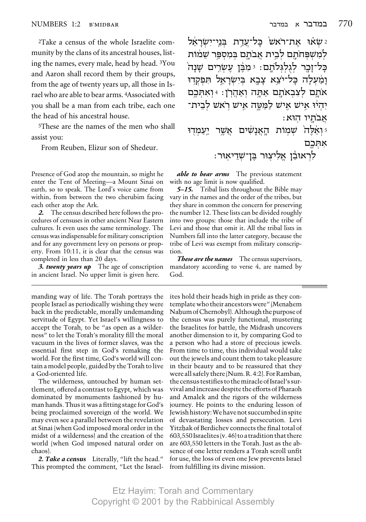2Take a census of the whole Israelite community by the clans of its ancestral houses, listing the names, every male, head by head. 3You and Aaron shall record them by their groups, from the age of twenty years up, all those in Israel who are able to bear arms. 4Associated with you shall be a man from each tribe, each one the head of his ancestral house.

5These are the names of the men who shall assist you:

6From Reuben, Elizur son of Shedeur.

Presence of God atop the mountain, so might he enter the Tent of Meeting—a Mount Sinai on earth, so to speak. The Lord's voice came from within, from between the two cherubim facing each other atop the Ark.

*2.* The census described here follows the procedures of censuses in other ancient Near Eastern cultures. It even uses the same terminology. The census was indispensable for military conscription and for any government levy on persons or property. From 10:11, it is clear that the census was completed in less than 20 days.

*3. twenty years up* The age of conscription in ancient Israel. No upper limit is given here.

manding way of life. The Torah portrays the people Israel as periodically wishing they were back in the predictable, morally undemanding servitude of Egypt. Yet Israel's willingness to accept the Torah, to be "as open as a wilderness" to let the Torah's morality fill the moral vacuum in the lives of former slaves, was the essential first step in God's remaking the world. For the first time, God's world will contain a model people, guided by the Torah to live a God-oriented life.

The wilderness, untouched by human settlement, offered a contrast to Egypt, which was dominated by monuments fashioned by human hands. Thus it was a fitting stage for God's being proclaimed sovereign of the world. We may even see a parallel between the revelation at Sinai (when God imposed moral order in the midst of a wilderness) and the creation of the world (when God imposed natural order on chaos).

*2. Take a census* Literally, "lift the head." This prompted the comment, "Let the Israelעֹאוּ אַת־רֹאשׂ בַּל־עֲדַת בִּנֵי־יִשְׂרָאֵל  $\mu$ לִמְשִׁפִּחֹתֵם לִבֱית אֲבֹתַם בְּמִסְפֵּר שֵׁמֹוֹת בַּל־זַכֵר לְגִלְגִּלֹתֵם: ≀ּמִבֶּן עֵשְׂרֵים שַׁנַה וַמַעלה כָּל־יֹצֵא צָבָא בִּיִשְׂרָאֱל תִּפִקְדוּ  $\lambda$ אֹתֵם לִצְבְאֹתֶם אֲתֵּה וְאֲהָרֹן: 4 וְאִתְּכֵם ֿיְהִיוּ אַישׁ אַישׁ לַמֲטֵה אֵישׁ רֹאשׁ לִבֵית־ : אֲבֹתַיו הוּא

י ואַלֵּה שִׁמוֹת הַאֲנַשִּׁים אַשֶר יַעֲמִדוּ ₹ אתּכם

: לִרְאוּבֵ<sup>י</sup>ן אֱלִיצְוּר בֶּן־שָׁדֵיאִוּר

*able to bear arms* The previous statement with no age limit is now qualified.

*5–15.* Tribal lists throughout the Bible may vary in the names and the order of the tribes, but they share in common the concern for preserving the number 12. These lists can be divided roughly into two groups: those that include the tribe of Levi and those that omit it. All the tribal lists in Numbers fall into the latter category, because the tribe of Levi was exempt from military conscription.

*These are the names* The census supervisors, mandatory according to verse 4, are named by God.

ites hold their heads high in pride as they contemplate who their ancestors were" (Menahem<br>Nahum of Chernobyl). Although the purpose of<br>the census was purely functional, mustering the Israelites for battle, the Midrash uncovers another dimension to it, by comparing God to a person who had a store of precious jewels. From time to time, this individual would take out the jewels and count them to take pleasure in their beauty and to be reassured that they were all safely there (Num. R. 4:2). For Ramban, the census testifies to the miracle of Israel's survival and increase despite the efforts of Pharaoh and Amalek and the rigors of the wilderness journey. He points to the enduring lesson of Jewishhistory:Wehavenotsuccumbedinspite of devastating losses and persecution. Levi Yitzhak of Berdichev connects the final total of  $603,550$  Israelites (v. 46)to a tradition that there are 603,550 letters in the Torah. Just as the absence of one letter renders a Torah scroll unfit for use, the loss of even one Jew prevents Israel from fulfilling its divine mission.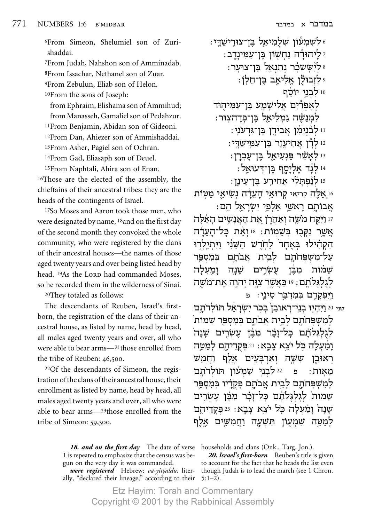6From Simeon, Shelumiel son of Zurishaddai.

7From Judah, Nahshon son of Amminadab. 8From Issachar, Nethanel son of Zuar. 9From Zebulun, Eliab son of Helon. 10From the sons of Joseph:

from Ephraim, Elishama son of Ammihud; from Manasseh, Gamaliel son of Pedahzur. 11From Benjamin, Abidan son of Gideoni. 12From Dan, Ahiezer son of Ammishaddai. 13From Asher, Pagiel son of Ochran.

14From Gad, Eliasaph son of Deuel.

15From Naphtali, Ahira son of Enan. 16Those are the elected of the assembly, the chieftains of their ancestral tribes: they are the heads of the contingents of Israel.

17So Moses and Aaron took those men, who were designated by name, 18and on the first day of the second month they convoked the whole community, who were registered by the clans of their ancestral houses—the names of those aged twenty years and over being listed head by head. <sup>19</sup>As the LORD had commanded Moses, so he recorded them in the wilderness of Sinai.

20They totaled as follows:

The descendants of Reuben, Israel's firstborn, the registration of the clans of their ancestral house, as listed by name, head by head, all males aged twenty years and over, all who were able to bear arms—21those enrolled from the tribe of Reuben:  $46,500$ .

22Of the descendants of Simeon, the registration of the clans of their ancestral house, their enrollment as listed by name, head by head, all males aged twenty years and over, all who were able to bear arms—23those enrolled from the tribe of Simeon:  $59,300$ .

> *18. and on the first day* The date of verse 1 is repeated to emphasize that the census was begun on the very day it was commanded.

> *were registered* Hebrew: *va-yityaldu;* literally, "declared their lineage," according to their

∶**לשמעון שלמיאל בו־צוריש**די∂ ∶ לֵיהוּדִּה נַחְשִׁוֹן בֵּן־עַמִינַדֵב ? : לִישַׁשכֹר נְתַנְאֵל בֵּן־צוּעֲר <sub>?</sub> : לִזְבוּלֶן אֱלִיאָב בֶּן־חֵלְןֹ 10 לבני יוֹסה לאפרֿים אלישַמַע בֶּן־עַמִּיהִוּד לִמְנַשֶּׁה גַּמְלִיאֵל בֵּן־פִּדָהצוּר: : לִבְנִיַמְן אֲבִידֵן בֵּן־גִּדְעֹנֵי נו לַדַן אַחִיעֵוֵר בֵּן־עַמְישַׁדֵי: נו לְאַשֶּׂר פַּגְעִיאֵל בֵּן־עַכְרֵן: וּ לְגֶד אֵלִיַסֵף בֵּן־דִּעוּאַל: נ: לְנָׁפִהַלִלי אַחִירֵע בֵּן־עֵינֵן

י אֱלֱה קריאי קרוּאֱי הַעֲדָה נִשְׂיאֵי מַטְוֹת§ : אֲבוֹתֵם רַאשֵׁי אַלְפֵי יִשְׂרָאֵל הֵם

‰l‡‰ ÌÈL‡‰ ˙‡ Ô¯‰‡Â ‰LÓ ÁwiÂ©¦© <sup>17</sup> <sup>¬</sup> ¤ <sup>½</sup> µ¥¨£¨¦´¨¥ <sup>Ÿ</sup> ¤−§©£® <sup>Ÿ</sup> אשר נקבוּ בּשׁמוֹת: 18 ואת כּל־העדוד הקהילוּ באחד<sup>י</sup> לחדש השני ויתילדוּ עַל־מִשִׁפִּחֹתֵם לִבֱית אֲבֹתֵם בִּמִסְפֵּר שֲמֹוֹת מִבֵּׄן עֲשׂרֵים שַׁנַה וַמַעָלַה לגלגלתם : 19 באשר צוּה יהוה את־מֹשה וֵיִּפְקָדֵם בְּמְדְבֵּר סִינָי: פ

<sub>שני 2</sub>0 יִיּהְיִי בְנֵי־רְאוּבֵן בְּבִי יִשְׂרָאֵל תּוּלְדֹתָם למשפחתם לבית אֲבתם במספר שמות` לִגְלִגְּלוֹתָׁם כַּל־זַבָּׁר מִבֶּן עֵשְׂרֵים שַׁנַה וַמַעִלַה כִּל יֹצֵא צָבָא: 12 פִּקְדֵיהֵם לִמַטֵּה רֹאוּבֵן שִׁשֵׁה וְאַרִבַּעֵים אֵלֵף וַחֲמֵשׁ מאות: פ<sup>22</sup> לבני שמעון תולדתם למשפחׂתם לבית אבׂתם פּקדֹיו בּמספּר ֹשֻמוֹת לִגְלְגִּלֹתֵׁם כַּל־זַכָּר מִבֶּן עֲשָׂרֵים עֲנָה נִמַּׁעִלַה כֹּל יֹצֵא צָבֵא: 23 פִּקְדֵיהֵם לִמַטֱה שִׁמִעָוֹן תִּשְׁעֲה וַחֲמִשֵּׁים אֱלֵף

households and clans (Onk., Targ. Jon.).

*20. Israel's first-born* Reuben's title is given to account for the fact that he heads the list even though Judah is to lead the march (see 1 Chron. 5:1–2).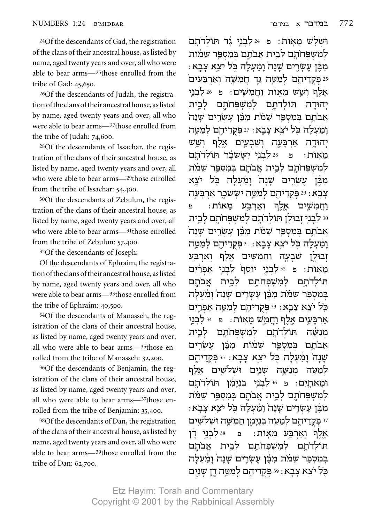24Of the descendants of Gad, the registration of the clans of their ancestral house, as listed by name, aged twenty years and over, all who were able to bear arms—25those enrolled from the tribe of Gad: 45,650.

26Of the descendants of Judah, the registration of the clans of their ancestral house, as listed by name, aged twenty years and over, all who were able to bear arms—27those enrolled from the tribe of Judah: 74,600.

28Of the descendants of Issachar, the registration of the clans of their ancestral house, as listed by name, aged twenty years and over, all who were able to bear arms—29those enrolled from the tribe of Issachar: 54,400.

30Of the descendants of Zebulun, the registration of the clans of their ancestral house, as listed by name, aged twenty years and over, all who were able to bear arms—31those enrolled from the tribe of Zebulun: 57,400.

32Of the descendants of Joseph:

Of the descendants of Ephraim, the registration of the clans of their ancestral house, as listed by name, aged twenty years and over, all who were able to bear arms—33those enrolled from the tribe of Ephraim: 40,500.

34Of the descendants of Manasseh, the registration of the clans of their ancestral house, as listed by name, aged twenty years and over, all who were able to bear arms—35those enrolled from the tribe of Manasseh: 32,200.

36Of the descendants of Benjamin, the registration of the clans of their ancestral house, as listed by name, aged twenty years and over, all who were able to bear arms—37those enrolled from the tribe of Benjamin: 35,400.

38Of the descendants of Dan, the registration of the clans of their ancestral house, as listed by name, aged twenty years and over, all who were able to bear arms—39those enrolled from the tribe of Dan: 62,700.

וּשָׁלִשׁ מֵאִוֹת: פּ<sup>24 לַ</sup>בְנֵי גָד תּוֹלְדֹתַם למשפחׂתם לבית אבׂתם בּמספּר שׁמוֹת : מִבֵּ֫ן עֵשְׂרֵים שַׁנַה וַמַּעִלַּה כִּל יֹצֵא צַבֵא ≧≅פֵּקְדִיהֵם לְמַטֱה גֵד חֲמִשֵּׁה וְאַרִבַּעִים אַלֵף וִשֵׁשׁ מֵאוֹת וַחֲמִשִׁים: פּ42לְבְנֵי יהוּדׄה תּוֹלדֹתם למשׁפּחֹתם לבית  $\lambda$ אֲבֹתֶם בִּמְסִפֵּר שֵׁמֹת מְבֵּׁן עֵשְׂרֵים שַׁנַה נִמַׂעִלַה כִּל יֹצֵא צָבָא: 27 פִקְדֵיהֵם לְמַשֵּׁה יִהוּדֶה אַרִבָּעֲה וִשׁבִעֵים אַלף וש<sub>ָ</sub>ש מֵאִוֹת: פּ<sup>28</sup> לִבְנֵי יִשַּׂשכָר תּוֹלְדֹתַם <u>למשפחתם לבית אבתם במספר שמת</u> מִבֵּٰן עֵשְׂרֵים שַׁנָה וַמַּעִלַה כִּל יֹצֵא צַבֵא: 29 פִּקְדֵיהֵם לִמַטֱה יִשַׂשכֵר אַרִבַּעֲה וחמשׁים אלף וארבע מאוׂת∶ פ <u>ני לבני זבולן תולדתם למשפחתם לבית 30</u> אֲבֹתֵם בִּמְסָפֵּר שָׁמֹת מִבֶּן עֲשָׂרֵים שַׁנַה וַמַּעִלַה כֹּל יֹצֵא צָבֵא∶ וּ≀ּפִקְדֵיהֵם לִמַטֱה ֿוְבוּלֶן שִׁבְעֲה וַחֲמִשֵּׁים אֱלֶף וְאַרִבֵּע מִאוֹת: פּ 32לִבְנֵי יוֹסֵף לִבְנֵי אֲפִרַיִם הולדתם למשפחתם לבית אבתם  $\,$ במספּר שׁמֹת מבּון עשׂרים שנה $\,$  ומעלה כֹּל יֹצֵא צָבֵא: 33 פִּקְדֵיהֵם לְמַשֵּׁה אֵפְרֵיִם אַרִבַּעֵים אֵלֵף וַחֲמֵשׁ מֵאִוֹת: פִּי⊭?לִּבְנֵי מִנַשֶּׁה תּוֹלִדֹתֵם לִמְשִׁפִּחֹתֵם לִבֱית אבׂתם במספּר שמות מבן עשרים עֻׁנַה נַמַעלַה כֹּל יֹצֵא צַבֵא: 35 פִקְדֵיהֵם לִמַטֱה מִנַשֵּׁה שִׁנֵיִם וּשׁלשֵׁים אלף וּמַאתֵיִם: פּ<sup>56 ל</sup>ָבְנֵי בְנִיַּמְן תּוֹלִדֹתַם <u>למשִׁפּחֹתֵם לְבֵית אֲבֹתֵם בִּמְסְפֵּר שֶׁמֹת</u> ֿמְבֵּ֫ן עֵשְׂרֵים שַׁנַה וַמַּעְלַה כִּל יֹצֵא צַבֵא <sup>37</sup> פִּקְדֵיהֵם לִמַטֱה בְנִיַמֵן חֲמִשֵּׁה וּשָׁלֹשֵׁים אלף וארבע מאות: פּ 38לבני דו הּוֹלִדֹּתַם לִמְשִׁפִּחֹתֵם לִבֵית אֲבֹתֵם בִּמְסִפֵּר שֵׁמֹת מִבֵּ֫ן עֵשְׂרֵים שַׁנָה וַמַּעִלַה כֹּל יֹצֵא צָבָא : 39 פִּקְדֵיהֵם לִמַטֵּה דֵן שָׁנַיֵם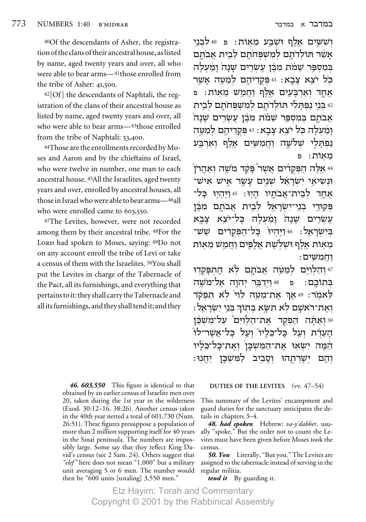40Of the descendants of Asher, the registration of the clans of their ancestral house, as listed by name, aged twenty years and over, all who were able to bear arms—41those enrolled from the tribe of Asher:  $41,500$ .

 $42[Of]$  the descendants of Naphtali, the registration of the clans of their ancestral house as listed by name, aged twenty years and over, all who were able to bear arms—43those enrolled from the tribe of Naphtali:  $53,400$ .

44Those are the enrollments recorded by Moses and Aaron and by the chieftains of Israel, who were twelve in number, one man to each ancestral house. 45All the Israelites, aged twenty years and over, enrolled by ancestral houses, all those in Israel who were able to bear arms—46all who were enrolled came to  $603,550$ .

47The Levites, however, were not recorded among them by their ancestral tribe. 48For the LORD had spoken to Moses, saying: 49Do not on any account enroll the tribe of Levi or take a census of them with the Israelites. 50You shall put the Levites in charge of the Tabernacle of the Pact, all its furnishings, and everything that pertains to it: they shall carry the Tabernacle and all its furnishings, and they shall tend it; and they

> *46. 603,550* This figure is identical to that obtained by an earlier census of Israelite men over 20, taken during the 1st year in the wilderness (Exod. 30:12–16, 38:26). Another census taken in the 40th year netted a total of 601,730 (Num. 26:51). These figures presuppose a population of more than 2 million supporting itself for 40 years in the Sinai peninsula. The numbers are impossibly large. Some say that they reflect King David's census (see 2 Sam. 24). Others suggest that *"elef "* here does not mean "1,000" but a military unit averaging 5 or 6 men. The number would then be "600 units [totaling] 3,550 men."

ושׁשים אלף וּשׁבע מאות: פּ04לבני <u>אש</u>ׁר תּוֹלדֹתם למשפּחתם לבית אבתם בִּמְסִפֵּר שֵׁמֹת מִבֵּ֫ן עֵשְׂרֵים שַׁנַה וַמַּעְלַה כֹּל יֹצֵא צַבֵא: 41 פִּקְדֵיהֵם לְמַשֵּׁה אֲשֵׁר אחד וארבעים אלף וחמש מאות∶ פ ˙È·Ï Ì˙ÁtLÓÏ Ì˙"ÏBz ÈÏzÙ Èa ¨−§¥´ <sup>Ÿ</sup> ¨¬§¦§§ <sup>Ÿ</sup> § <sup>½</sup> §¥´©§¨¦ <sup>42</sup>  $\mathrm{K}$ אבׂתם בּמספּר שׁמֹת מבּוֹ עשׂרים שנה ומׄעלַה כּל יֹצֵא צַבַא: 43 פִקְדֵיהֱם לִמַטֱה נפתּלי שׁלשה וחמשים אלף וארבע מאוֹת: פ

 $\check{\gamma}$ אַלֱה הַפִּקְדִים אֲשֶׁר פַּקֲד מֹשֵׁה וְאַהֲרֹן -וּנְשִׂיאֵי יִשְׂרַאֵל שָׁנֵים עֲשֵׂר אִישׁ אַיש אֵחֲד לִבֵית־אֲבֹתֵיו הַיִוּ: 45 וַיֵּהִיֵוּ כַּל־ פִּקוּדֵי בְנֵי־יִשׂרַאֵל לִבֵית אַבֹתַם מִבֵּן עשׂרים שׁנה ומׄעלה כּל־יֹצא צבא בישראל: 46 ויּהיוּ` בַּל־הַפִּקְדִים שֵׁשׁ־ ֿמֵאוֹת אֵלֵף וּשִׁלִשֵׁת אֲלַפֵּים וַחֲמֵשׁ מֵאוֹת  $:$ וחמשים

יּהַלְוִיֵּם לְמַטֱה אֲבֹתַם לִא הַתִּפּקדוּ " בְּתוֹכֵם: פּ 48וַיִדַבֵּר יִהוַה אַל־מֹשֵׁה לַאמֹר: 49 אַרְ אַת־מַטֱה לֵוִי לִא תִפְקֹד : ואת־ראשם לא תשא בתוך בני ישראל ואת הפקד את־הלוים על־משכו  $^{50}$ ֿהַעֲדָ֫ת וְעֲל כַּל־מֵ<sup>ׂ</sup>יֹוּ יִעֲל כַּל־אֲשֶׁר־לוֹ הֵמֵה יִשְׂאוּ אַת־הַמִּשְׁבַּן וְאֵת־כַּל־כַלַיוּ :יהֵם יִשַׁרִתְהוּ וְסָבֵיב לַמְּשָׁכֵּן יַחֲנִוּ

# **DUTIES OF THE LEVITES** (vv. 47–54)

This summary of the Levites' encampment and guard duties for the sanctuary anticipates the details in chapters 3–4.

*48. had spoken* Hebrew: *va-y'dabber,* usually "spoke." But the order not to count the Levites must have been given before Moses took the census.

*50. You* Literally, "But you." The Levites are assigned to the tabernacle instead of serving in the regular militia.

*tend it* By guarding it.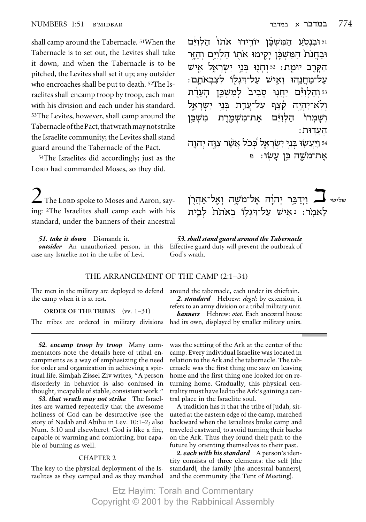ּוֹשַׁמרוּ

ּהַעֲדוּת

וּ וּבְנְסָעַ הַמְּשָׁבֵּן יוֹרֵידוּ אֹתוֹ הַלְוְיֹּם

וּבַחֲנֹת הַמִּשְׁבַּן יַקִימוּ אֹתוֹ הַלְוְיֵּם וְהָזֵר

הַקַּרֵב יוּמַת: 52 וְחַנְוּ בְּנֵי יְשְׂרָאֵל אֵישׁ

על־מחנהוּ ואיש על־דגלו לעבאתם:

<sup>53</sup> והלוים יחנו סביב<sup>י</sup> למשכן העדת

54 ויעשו בני ישראל ככל אשר צוה יהוה

לעקרן אישי אל־משָה וְאֱל־אַהֲרָן wישישי

לַאמר: 2אֵישׁ עַל־דְּגִלְוּ בְאֹתֹת לְבֵית

את־משמרת

ולא־יהיה קצף על־עדת בני

הלויּם

אַת־מֹשֵׁה כֵּן עַשׂוּ: פ

shall camp around the Tabernacle.<sup>51</sup>When the Tabernacle is to set out, the Levites shall take it down, and when the Tabernacle is to be pitched, the Levites shall set it up; any outsider who encroaches shall be put to death. <sup>52</sup>The Israelites shall encamp troop by troop, each man with his division and each under his standard. 53The Levites, however, shall camp around the Tabernacle of the Pact, that wrath may not strike the Israelite community; the Levites shall stand guard around the Tabernacle of the Pact.

<sup>54</sup>The Israelites did accordingly; just as the LORD had commanded Moses, so they did.

 $\angle$  The LORD spoke to Moses and Aaron, saying: <sup>2</sup>The Israelites shall camp each with his standard, under the banners of their ancestral

51. take it down Dismantle it. case any Israelite not in the tribe of Levi.

53. shall stand guard around the Tabernacle outsider An unauthorized person, in this Effective guard duty will prevent the outbreak of God's wrath.

### THE ARRANGEMENT OF THE CAMP (2:1-34)

משכּו

The men in the military are deployed to defend around the tabernacle, each under its chieftain. the camp when it is at rest.

**ORDER OF THE TRIBES** (vv. 1-31) The tribes are ordered in military divisions

52. encamp troop by troop Many commentators note the details here of tribal encampments as a way of emphasizing the need for order and organization in achieving a spiritual life. Simhah Zissel Ziv writes, "A person disorderly in behavior is also confused in thought, incapable of stable, consistent work."

53. that wrath may not strike The Israelites are warned repeatedly that the awesome holiness of God can be destructive (see the story of Nadab and Abihu in Lev. 10:1-2; also Num. 3:10 and elsewhere). God is like a fire, capable of warming and comforting, but capable of burning as well.

#### **CHAPTER 2**

The key to the physical deployment of the Israelites as they camped and as they marched and the community (the Tent of Meeting).

2. standard Hebrew: degel; by extension, it refers to an army division or a tribal military unit. **banners** Hebrew: otot. Each ancestral house had its own, displayed by smaller military units.

was the setting of the Ark at the center of the camp. Every individual Israelite was located in relation to the Ark and the tabernacle. The tabernacle was the first thing one saw on leaving home and the first thing one looked for on returning home. Gradually, this physical centrality must have led to the Ark's gaining a central place in the Israelite soul.

A tradition has it that the tribe of Judah, situated at the eastern edge of the camp, marched backward when the Israelites broke camp and traveled eastward, to avoid turning their backs on the Ark. Thus they found their path to the future by orienting themselves to their past.

2. each with his standard A person's identity consists of three elements: the self (the standard), the family (the ancestral banners),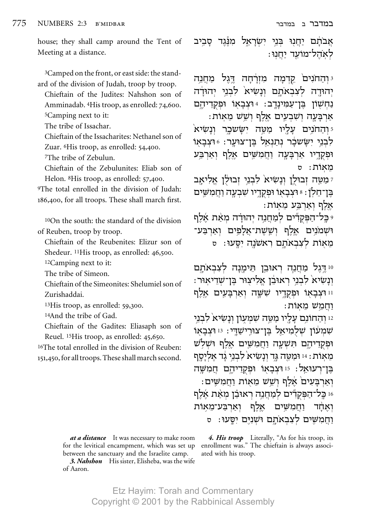house; they shall camp around the Tent of Meeting at a distance.

<sup>3</sup>Camped on the front, or east side: the standard of the division of Judah, troop by troop.

Chieftain of the Judites: Nahshon son of Amminadab. <sup>4</sup>His troop, as enrolled: 74,600. <sup>5</sup>Camping next to it:

The tribe of Issachar.

Chieftain of the Issacharites: Nethanel son of Zuar. <sup>6</sup>His troop, as enrolled: 54,400.

<sup>7</sup>The tribe of Zebulun.

Chieftain of the Zebulunites: Eliab son of Helon. <sup>8</sup>His troop, as enrolled: 57,400.

<sup>9</sup>The total enrolled in the division of Judah: 186,400, for all troops. These shall march first.

<sup>10</sup>On the south: the standard of the division of Reuben, troop by troop.

Chieftain of the Reubenites: Elizur son of Shedeur. <sup>11</sup>His troop, as enrolled: 46,500.

<sup>12</sup>Camping next to it:

The tribe of Simeon.

Chieftain of the Simeonites: Shelumiel son of Zurishaddai

<sup>13</sup>His troop, as enrolled: 59,300.

<sup>14</sup>And the tribe of Gad.

Chieftain of the Gadites: Eliasaph son of Reuel. 15His troop, as enrolled: 45,650.

<sup>16</sup>The total enrolled in the division of Reuben: 151,450, for all troops. These shall march second.

> at a distance It was necessary to make room for the levitical encampment, which was set up between the sanctuary and the Israelite camp.

3. Nahshon His sister, Elisheba, was the wife of Aaron.

במדבר ב במדבר

אֲבֹתָׁם יַחֲנִוּ בִּנֵי יִשְׂרָאֵל מִנֵּּגֵד סָבִיב לאהל־מוֹעד יחנוּ:

<sup>3</sup> וְהַחֹנִיםׂ קֵדְמָה מִזְרָחָה דֵּגֵל מַחֲנֵה יהוּדה לִצְבְאֹתֵם וְנַשִׂיא לִבְנֵי יִהוּדָה נַחִשְׁוֹן בֵּן־עַמִינָדֵב: 4וּצְבָאוֹ וּפִקְדֵיהֵם :ארבעה ושבעים אלף ושש מאות

והחנים עליו מטה יששכר ונשיא ! לְבְנֵי יְשָׂשְׁכָר נְתַנְאֵל בֵּן־צוּעַר: 26 וּצבאו וּפִקְדֵיו אַרְבָּעָה וַחֲמִשֵּׁים אֵלֵף וְאַרְבַּע מאוֹת: ס

ִימַטֶה זְבוּלֵן וְנַשִׂיא<sup>'</sup> לִבְנֵי זְבוּלֹן אֱלִיאָב בֵּן־חֵלְןׁ: 8 וּצְבַאוֹ וּפִקְדֵיו שָׁבִעָה וַחֲמִשִׁים :אלף וארבע מאות

ּ כֵּל־הַפִּקְדִّים לִמַחֲנֵה יְהוּדַה מִאַת אֵלֵף וּשָׁמֹנֵים אֱלֵף וְשֵׂשָׁת־אֱלֹפִים וְאַרְבַּע־ מֵאוֹת לִצְבְאֹתָם רְאשֹׁנֵה יְסֵעוּ: ס

10 דגל מחנה ראובן תימנה לצבאתם וְנַשִׂיא לְבְנֵי רְאוּבֶן אֱלִיצְוּר בֶּן־שָׁדֵיאִוּר: וּוּ וּצְבָאוֹ וּפִקְדֵיו שִׁשֵּׂה וְאַרְבָּעֵים אֵלֵף וחמש מאות:

ו והחונם עליו מטה שמעון ונשיא לבני? שְׁמְעוֹן שְׁלִמְיאֵל בֵּן־צוּרֵישַׁדֵּי: 13 וּצְבָאוֹ וּפִקְדֵיהֵם הִּשְׁעֲה וַחֲמִשֵּׁים <u>אֵלו</u>ף וּשׁלֹש מֵאוֹת: 14 וּמַטֵּה גַּד וְנַשִׂיא לְבְנֵי גַד אֵלְיַסֵף בן־רעוּאל: 15 וּצבאוֹ וּפקדיהם חמשה וְאַרְבַּעִים אֱלֵף וְשֵׁשׁ מֵאִוּת וַחֲמִשִּׁים: 16 כַּל־הַפִּקְדִּים לִמְחֲנֵה רְאוּבֶן מְאַת אֶלֶף וחמשים אלף וארבע־מאות ואחר וחמשים לצבאתם ושנים יסעו: ס

4. His troop Literally, "As for his troop, its enrollment was." The chieftain is always associated with his troop.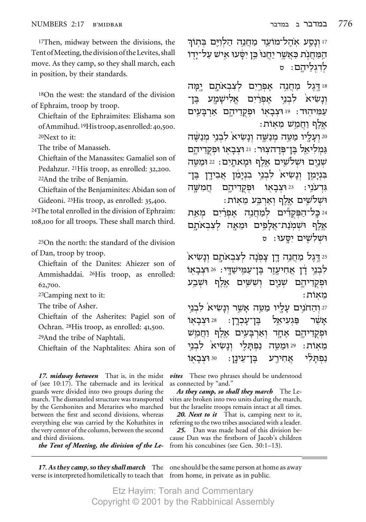<sup>17</sup>Then, midway between the divisions, the Tent of Meeting, the division of the Levites, shall move. As they camp, so they shall march, each in position, by their standards.

<sup>18</sup>On the west: the standard of the division of Ephraim, troop by troop.

Chieftain of the Ephraimites: Elishama son of Ammihud.<sup>19</sup>Histroop, as enrolled: 40,500. <sup>20</sup>Next to it:

The tribe of Manasseh.

Chieftain of the Manassites: Gamaliel son of Pedahzur. <sup>21</sup>His troop, as enrolled: 32,200. <sup>22</sup>And the tribe of Benjamin.

Chieftain of the Benjaminites: Abidan son of Gideoni. <sup>23</sup>His troop, as enrolled: 35,400.

<sup>24</sup>The total enrolled in the division of Ephraim: 108,100 for all troops. These shall march third.

<sup>25</sup>On the north: the standard of the division of Dan, troop by troop.

Chieftain of the Danites: Ahiezer son of Ammishaddai. <sup>26</sup>His troop, as enrolled: 62,700.

<sup>27</sup>Camping next to it:

The tribe of Asher.

Chieftain of the Asherites: Pagiel son of Ochran. <sup>28</sup>His troop, as enrolled: 41,500.

<sup>29</sup>And the tribe of Naphtali.

Chieftain of the Naphtalites: Ahira son of

17. *midway between* That is, in the midst of (see 10:17). The tabernacle and its levitical guards were divided into two groups during the march. The dismantled structure was transported by the Gershonites and Merarites who marched between the first and second divisions, whereas everything else was carried by the Kohathites in the very center of the column, between the second and third divisions.

the Tent of Meeting, the division of the Le-

verse is interpreted homiletically to teach that from home, in private as in public.

זו וְנַסֵע אֹהֵל־מוֹעֵד מַחֲנֵה הַלְוִיֵּם בִּתְוֹךְ הַמַּחֲנֹת כַּאֲשֶׁר יַחֲנוּ בֵּן יִפָּעוּ אֵישׁ עַל־יַדִו לִדְגְלֵיהֱם: ס

18 דגל לצבאתם ימה מחנה אפרים אַלישמע אפרים לבני ונשיא בו־ עמיהוד: 19 וּצְבַאוֹ וּפִקְדִיהֵם אַרְבַּעֵים אלף וחמש מאות:

20 ועליו מַטֱה מִנַשֵּׁה וְנַשִׂיא לִבְנֵי מִנַשֵּׂה גַמְלִיאֵל בֵּן־פִּדַהצְוּר: 21 וּצְבָאוֹ וּפִקְדֵיהֵם שנים וּשׁלשׁים אלף וּמאתים: 22 וּמטה בנימן ונשיא<sup>י</sup> לבני בנימו אבידו בו־ וּפִקְדֵיהֵם גִּדְעֹנִי: חמשה 23 וּצִבַאוֹ וּשִׁלֹשֵׁים אַלֵף וְאַרְבֵּע מֵאוֹת:

24 כל־הפקדים למחנה אפרים מאת אֵלֵף וּשִׁמִנַת־אֲלַפֵּים וּמֵאַה לִצְבְאֹתֵם וּשׁלשים יסעוּ: D

25 דֵגֵל מַחֲנֵה דֵן צַפֹּנַה לִצְבְאֹתִם ונשׂיא<sup>י</sup> לְבִנֵי דָן אֲחִיעֶזֵר בֵּן־עַמֶּישַׁדֵּי: 26 וּצְבָאוֹ וּפקדיהם שׁנים וששׁים אלף וּשֹבע מאות:

27 והחנים עליו מטה אשר ונשיא<sup>'</sup> לבני 28 וצבאו ּבֵּן־עַכִרן: פּגעיאל אשר וּפִקְדֵיהֶם אֶחֱד וְאַרִבָּעֶים אֱלֵף וַחֲמֵשׁ ונשיא לבני נפתלי 29 ומטח מאוֹת: אַחִירֵע נפתלי <sup>30</sup> וֿצבאו ּבֵּן־עַינֵן :

vites These two phrases should be understood as connected by "and."

As they camp, so shall they march The Levites are broken into two units during the march, but the Israelite troops remain intact at all times.

20. Next to it That is, camping next to it, referring to the two tribes associated with a leader.

25. Dan was made head of this division because Dan was the firstborn of Jacob's children from his concubines (see Gen.  $30:1-13$ ).

17. As they camp, so they shall march The one should be the same person at home as away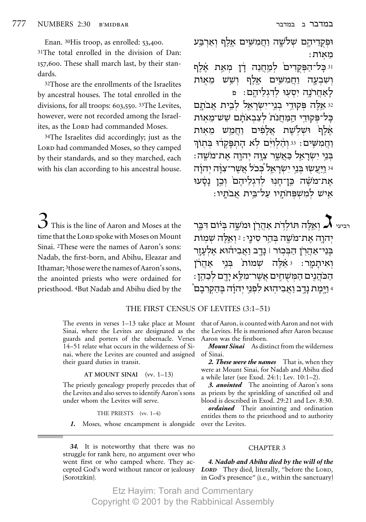Enan. 30His troop, as enrolled: 53,400. 31The total enrolled in the division of Dan: 157,600. These shall march last, by their standards.

<sup>32</sup>Those are the enrollments of the Israelites by ancestral houses. The total enrolled in the divisions, for all troops: 603,550. 33The Levites, however, were not recorded among the Israelites, as the LORD had commanded Moses.

<sup>34</sup>The Israelites did accordingly; just as the LORD had commanded Moses, so they camped by their standards, and so they marched, each with his clan according to his ancestral house.

 $\mathbf{\hat{O}}$  This is the line of Aaron and Moses at the time that the LORD spoke with Moses on Mount Sinai. <sup>2</sup>These were the names of Aaron's sons: Nadab, the first-born, and Abihu, Eleazar and Ithamar; <sup>3</sup>those were the names of Aaron's sons, the anointed priests who were ordained for priesthood. <sup>4</sup>But Nadab and Abihu died by the

THE FIRST CENSUS OF LEVITES (3:1-51)

The events in verses  $1-13$  take place at Mount Sinai, where the Levites are designated as the guards and porters of the tabernacle. Verses 14–51 relate what occurs in the wilderness of Sinai, where the Levites are counted and assigned their guard duties in transit.

#### AT MOUNT SINAI  $(vv. 1-13)$

The priestly genealogy properly precedes that of the Levites and also serves to identify Aaron's sons under whom the Levites will serve.

#### THE PRIESTS (vv. 1-4)

1. Moses, whose encampment is alongside

34. It is noteworthy that there was no struggle for rank here, no argument over who went first or who camped where. They accepted God's word without rancor or jealousy (Sorotzkin).

וּפִקְדִיהֵם שָׁלֹשָׁה וַחֲמִשֵּׁים אֲלֵף וְאַרְבֵּע מאוֹת: יּ כָּל־הַפִּקְדִיםׂ לִמַחֲנֵה דָ֫ן מִאַת אֵ֫לֶף ושבעה וחמשים אלף ושש מאות לאחרנה יסעוּ לדגליהם: פ 32 אלה פקודי בני־ישראל לבית אבתם כַּל־פִּקוּדֵי הַמַּחֲנֹת לִצְבְאֹתָם שָשׁ־מֵאוֹת אַלַף וּשְלִשֶׁת אֲלַפִּים וַחֲמֵשׁ מֵאוֹת וחמשים: 33 והלוים לא התפקדו בתור ּבְּנֵי יְשְׂרָאֱל כַּאֲשֶׁר צְוַּה יְהוַה אֲת־מֹשֶׁה: <sup>34</sup> וַיַּעֲשׂוּ בְּנֵי יְשָׂרַאֵל כְּכֹל אֲשֶׁר־צְוָּה יְהוַד אַת־מֹשֶׁה כֵּוְ־חַנִּוּ לִדְגִלֵיהֶם וְכֵוְ נַטָּעוּ אֵישׁ לְמִשְׁפִּחֹתֵיו עַל־בֵּית אֲבֹתֵיו:

רביעי  $\boldsymbol{X}$  ואלה תולדת אהרן ומשה ביום דכר יהוה את־משה בהר סיני : 2 ואלה שמות בני־אהרן הבכור | נדב ואביהוא אלעזר וְאִיתַמַר: גּאֵלֶה שָׁמוֹת בְּנֵי אהרֹן הכהנים המשחים אשר־מלא ידם לכהן: <sup>4</sup> וַיֵּמַת נַדֵב וַאֲבִיהִוּא לִפְנֵי יִהוֹדְה בֶּהַקְרִבָם וּ

that of Aaron, is counted with Aaron and not with the Levites. He is mentioned after Aaron because Aaron was the firstborn.

**Mount Sinai** As distinct from the wilderness of Sinai.

2. These were the names That is, when they were at Mount Sinai, for Nadab and Abihu died a while later (see Exod. 24:1; Lev. 10:1-2).

3. anointed The anointing of Aaron's sons as priests by the sprinkling of sanctified oil and blood is described in Exod. 29:21 and Lev. 8:30.

**ordained** Their anointing and ordination entitles them to the priesthood and to authority over the Levites.

# **CHAPTER 3**

4. Nadab and Abihu died by the will of the LORD They died, literally, "before the LORD, in God's presence" (i.e., within the sanctuary)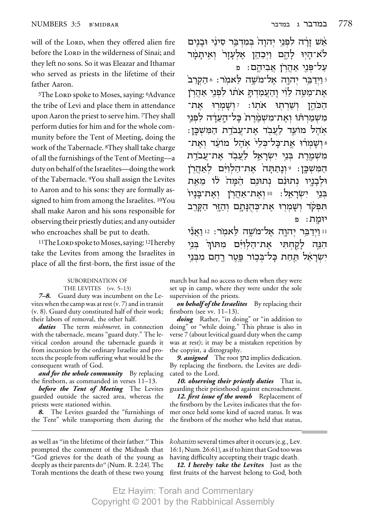will of the LORD, when they offered alien fire before the LORD in the wilderness of Sinai; and they left no sons. So it was Eleazar and Ithamar who served as priests in the lifetime of their father Aaron.

<sup>5</sup>The LORD spoke to Moses, saying: <sup>6</sup>Advance the tribe of Levi and place them in attendance upon Aaron the priest to serve him. 7They shall perform duties for him and for the whole community before the Tent of Meeting, doing the work of the Tabernacle. <sup>8</sup>They shall take charge of all the furnishings of the Tent of Meeting-a duty on behalf of the Israelites-doing the work of the Tabernacle. <sup>9</sup>You shall assign the Levites to Aaron and to his sons: they are formally assigned to him from among the Israelites. 10You shall make Aaron and his sons responsible for observing their priestly duties; and any outsider who encroaches shall be put to death.

<sup>11</sup>The Lorp spoke to Moses, saying: <sup>12</sup>I hereby take the Levites from among the Israelites in place of all the first-born, the first issue of the

#### SUBORDINATION OF THE LEVITES (vv. 5-13)

**7–8.** Guard duty was incumbent on the Levites when the camp was at rest  $(v. 7)$  and in transit (v. 8). Guard duty constituted half of their work; their labors of removal, the other half.

*duties* The term *mishmeret*, in connection with the tabernacle, means "guard duty." The levitical cordon around the tabernacle guards it from incursion by the ordinary Israelite and protects the people from suffering what would be the consequent wrath of God.

*and for the whole community* By replacing the firstborn, as commanded in verses 11-13.

before the Tent of Meeting The Levites guarded outside the sacred area, whereas the priests were stationed within.

8. The Levites guarded the "furnishings of the Tent" while transporting them during the

אָשׁ זַרָה לפְנֵי יִהוַה בִּמְדִבֵּר סִינַי וּבָנִים לא־הַיִּוּ לַהֵם וַיִּכְהֶן אֵלְעַזַר וְאֵיתַמַּ֫ר עַל־פְּנֵי אַהֲרֹן אֲבִיהֵם: פ

יַ וַיִּדְבֵּר יִהוַה אֵל־מֹשֵׁה לַאמֹר: 6 הַקְרֵב<sup>י -</sup> את־מטה לוי והעמדת אתו לפני אהרן הכהן ושרתו אתו: *ו*שמרו את־ משמרתו ואת־משמרת כל־העדה לפני אהל מועד לעבד את עבדת המשכן: ושמרו את־כל־כלי אהל מועד ואת־ מִשְׁמֵרֶת בְּנֵי יְשְׂרָאֵל לַעֲבְד אֶת־עֲבֹדֶת הַמִּשְׁכֵּן: יִּוְנַתַתַּה אֶת־הַלְוִיּּם לְאֲהָרֹן וּלִבְנֵיו נִתוּנָם נִתוּנֵם הָמַה לוֹ מֵאֵת יִשׂרַאֵל: 10 וְאֵת־אַהֲרָן וְאֶת־בָּנָיוֹ בִּנֵי תִּפְקֹד וְשָׁמְרִוּ אֶת־כִּהְנָּתָם וְהַזֶּר הַקְרֵב יוּמַת: פ

וו וידבר יהוה אל־משה לאמר: 12 ואני הִנֶּה לַקַחִתִּי אֶת־הַלְוִיָּּם מִתּוֹךְ בְּנֵי יְשְׂרָאֵל תַּחַת כַּל־בִּכֵוֹר פֵּטֶר רֵחֵם מִבְּנֵי

march but had no access to them when they were set up in camp, where they were under the sole supervision of the priests.

**on behalf of the Israelites** By replacing their firstborn (see vv.  $11-13$ ).

doing Rather, "in doing" or "in addition to doing" or "while doing." This phrase is also in verse 7 (about levitical guard duty when the camp was at rest); it may be a mistaken repetition by the copyist, a dittography.

9. assigned The root נתן implies dedication. By replacing the firstborn, the Levites are dedicated to the Lord.

10. observing their priestly duties That is, guarding their priesthood against encroachment.

12. first issue of the womb Replacement of the firstborn by the Levites indicates that the former once held some kind of sacred status. It was the firstborn of the mother who held that status,

as well as "in the lifetime of their father." This prompted the comment of the Midrash that "God grieves for the death of the young as deeply as their parents do" (Num. R. 2:24). The Torah mentions the death of these two young kohanim several times after it occurs (e.g., Lev. 16:1; Num. 26:61), as if to hint that God too was having difficulty accepting their tragic death.

12. I hereby take the Levites Just as the first fruits of the harvest belong to God, both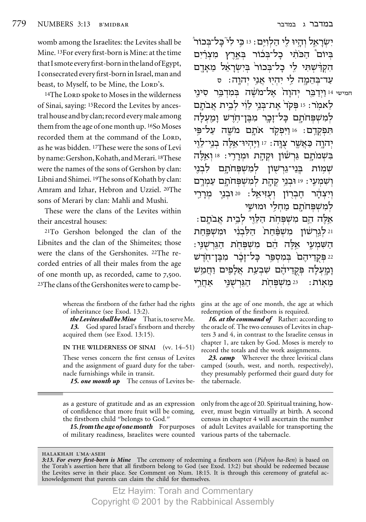womb among the Israelites: the Levites shall be Mine. 13For every first-born is Mine: at the time that I smote every first-born in the land of Egypt, I consecrated every first-born in Israel, man and beast, to Myself, to be Mine, the LORD's.

<sup>14</sup>The LORD spoke to Moses in the wilderness of Sinai, saying: 15 Record the Levites by ancestral house and by clan; record every male among them from the age of one month up. 16So Moses recorded them at the command of the LORD, as he was bidden. 17These were the sons of Levi by name: Gershon, Kohath, and Merari. 18These were the names of the sons of Gershon by clan: Libni and Shimei. <sup>19</sup>The sons of Kohath by clan: Amram and Izhar, Hebron and Uzziel. <sup>20</sup>The sons of Merari by clan: Mahli and Mushi.

These were the clans of the Levites within their ancestral houses:

<sup>21</sup>To Gershon belonged the clan of the Libnites and the clan of the Shimeites; those were the clans of the Gershonites. 22The recorded entries of all their males from the age of one month up, as recorded, came to 7,500. <sup>23</sup>The clans of the Gershonites were to camp be-

> whereas the firstborn of the father had the rights of inheritance (see Exod. 13:2).

> the Levites shall be Mine That is, to serve Me. 13. God spared Israel's firstborn and thereby acquired them (see Exod. 13:15).

> IN THE WILDERNESS OF SINAI (vv. 14-51)

These verses concern the first census of Levites and the assignment of guard duty for the tabernacle furnishings while in transit.

15. one month up The census of Levites be-

as a gesture of gratitude and as an expression of confidence that more fruit will be coming, the firstborn child "belongs to God."

15. from the age of one month For purposes of military readiness, Israelites were counted

יְשְׂרָאֵל וְהַיוּ לֵי הַלְוְיֶּם: 13 כֵּי לִי כַּל־בְּכוֹר בִּיוֹם הַכֹּחִׁי כָל־בְּכוֹר בִּאֱרֵץ מִצְרַיִם הִקְרַּשְׁתִּי לֵי כָל־בְּכוֹר בְּיִשְׂרָאֵל מֵאָדֶם עַד־בִּהֱמָה לֵי יִהְיִוּ אֲנֵי יִהוָה: ס

חמישי 14 וידבר יהוה אל־משה במדבר סיני לאמר: 15 פקד את־בני לוי לבית אבתם למשפחתם כל זכר מבו חדש ומעלה תפקדם: 16 וַיִּפְקֹד אֹתֵם מֹשֵׁה עַל־פִּי יהוה כאשר צוּה: זו ויּהיוּ־אלּה בני־ לוי בִּשְׁמֹתַם גֵּרְשׁוֹן וּקְהַת וּמִרְרֵי: 18 וְאֵלֶה למשפחתם בֵּנֵי־גֵרשׁוֹן שמות לבני וְשְׁמַעֵי: 19 וּבְנֵי קָהָת לְמִשְׁפִּחֹתָם עַמְרֵם וִיִצְהָר חֶבְרְוֹן וְעָזִּיאֵל: 20וּבְנֵי מִרַרֵי למשפחתם מחלי ומושי

אלה הם משפחת הלוי לבית אבתם: וּמשׁפּחת וּ לגרשׁוֹן משפּׂחת הלבני הַשַּׁמַעֵי אֱלֵה הֵם מִשִּׁפְּחָת הַגֵּרְשָׁנֵּי: 22 פַּקְדִיהֶם בִּמְסָפֵּר כַּל־זַכָּר מִבֵּן־חֹדְ וַמַעִלַה פִּקְדֵיהֵם שִׁבְעֲת אֲלָפִים וַחֲמֵשׁ הגּרשני 23 משפחת מאוֹת: אחרי

gins at the age of one month, the age at which redemption of the firstborn is required.

16. at the command of Rather: according to the oracle of. The two censuses of Levites in chapters 3 and 4, in contrast to the Israelite census in chapter 1, are taken by God. Moses is merely to record the totals and the work assignments.

23. camp Wherever the three levitical clans camped (south, west, and north, respectively), they presumably performed their guard duty for the tabernacle.

only from the age of 20. Spiritual training, however, must begin virtually at birth. A second census in chapter 4 will ascertain the number of adult Levites available for transporting the various parts of the tabernacle.

HALAKHAH L'MA·ASEH

<sup>3:13.</sup> For every first-born is Mine The ceremony of redeeming a firstborn son (Pidyon ha-Ben) is based on the Torah's assertion here that all firstborn belong to God (see Exod. 13:2) but should be redeemed because the Levites serve in their place. See Comment on Num. 18:15. It is through this ceremony of grateful acknowledgement that parents can claim the child for themselves.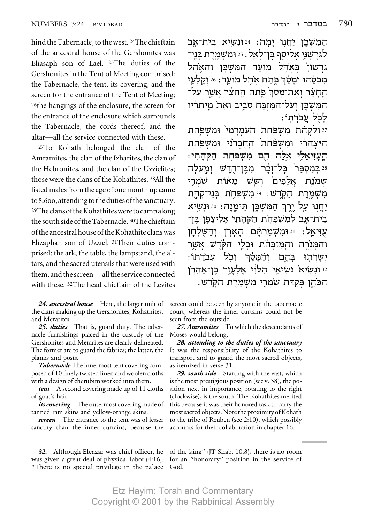hind the Tabernacle, to the west. 24The chieftain of the ancestral house of the Gershonites was Eliasaph son of Lael. <sup>25</sup>The duties of the Gershonites in the Tent of Meeting comprised: the Tabernacle, the tent, its covering, and the screen for the entrance of the Tent of Meeting; 26the hangings of the enclosure, the screen for the entrance of the enclosure which surrounds the Tabernacle, the cords thereof, and the altar—all the service connected with these.

27To Kohath belonged the clan of the Amramites, the clan of the Izharites, the clan of the Hebronites, and the clan of the Uzzielites; those were the clans of the Kohathites. 28All the listed males from the age of one month up came to 8,600, attending to the duties of the sanctuary. <sup>29</sup>The clans of the Kohathites were to camp along the south side of the Tabernacle. <sup>30</sup>The chieftain of the ancestral house of the Kohathite clans was Elizaphan son of Uzziel. <sup>31</sup>Their duties comprised: the ark, the table, the lampstand, the altars, and the sacred utensils that were used with them, and the screen—all the service connected with these. <sup>32</sup>The head chieftain of the Levites

24. ancestral house Here, the larger unit of the clans making up the Gershonites, Kohathites, and Merarites.

25. duties That is, guard duty. The tabernacle furnishings placed in the custody of the Gershonites and Merarites are clearly delineated. The former are to guard the fabrics; the latter, the planks and posts.

Tabernacle The innermost tent covering composed of 10 finely twisted linen and woolen cloths with a design of cherubim worked into them.

tent A second covering made up of 11 cloths of goat's hair.

*its covering* The outermost covering made of tanned ram skins and yellow-orange skins.

screen The entrance to the tent was of lesser sanctity than the inner curtains, because the

הַמְּשָׁבֵּן יַחֲנְוּ יַמַּה: 24 וּנִשַׂיא בֵית־אב לַגֵּרְשִׁנֵּי אֵלְיַסֵף בֵּן־לַאֲל : 25 וּמִשְׁמֵרֵת בְּנֵי־ גֵרְשׁוֹן בְּאָהֶל מוֹעֵד הַמִּשְׁכֵּן וְהָאָהֶל מִכְסֶהוּ וּמַסֶּׁךְ פֵּתַח אַהֵל מוֹעֲד: 26 וַקַלְעֵי החצר ואת־מסך פתח החצר אשר על־ המשכו ועל־המובח סביב ואת מיתריו לכל עבדתו:

27 ולקהת משפחת העמרמי ומשפחת הַיִּצְהַרִי וּמְשָׁפָּחָת הָחֱבְרֹנִי וּמִשְׁפֵּחַת הַעַזִּיאֵלֵי אֵלֶה הֵם מִשְׁפִּחֹת הַקְּהַתֵי: 28 בִּמְסְפֵּר בַּל־זַבֶּר מִבֵּן־חֹדֵשׁ וַמַעָלַה שׂמרי אַלפים ושש מאות שמנת מִשְׁמֵרֵת הַקְרֵשׁ: 29מִשְׁפִּחִת בְּנֵי־קָהַת יחנו על ירה המשכן תימנה: 30 ונשיא בית־אַב למשפחת הקהתי אליצפו בּו־ עויאל: י<sup>וּ וּ</sup>מִשְמַרְתַּם הַאַרְן וְהַשָּלְחַן והמנרה והמזבחת וכלי הקדש אשר : עֵבׂדַתוּ וכל והמסר בַּהֵם יִשַׁרְתוּ י וּנִשִׂיא<sup>י</sup> נִשִׂיאֵי הַלֵּוְי אֵלְעָזֶר בֵּן־אַהֲרִן 2 הַכֹּהֵן פִּקְרַּת שֹׁמְרֵי מִשְׁמֶרֶת הַקְרֵשׁ:

screen could be seen by anyone in the tabernacle court, whereas the inner curtains could not be seen from the outside.

27. Amramites To which the descendants of Moses would belong.

28. attending to the duties of the sanctuary It was the responsibility of the Kohathites to transport and to guard the most sacred objects, as itemized in verse 31.

29. south side Starting with the east, which is the most prestigious position (see v. 38), the position next in importance, rotating to the right (clockwise), is the south. The Kohathites merited this because it was their honored task to carry the most sacred objects. Note the proximity of Kohath to the tribe of Reuben (see 2:10), which possibly accounts for their collaboration in chapter 16.

"There is no special privilege in the palace God.

32. Although Eleazar was chief officer, he of the king" (JT Shab. 10:3); there is no room was given a great deal of physical labor  $(4:16)$ . for an "honorary" position in the service of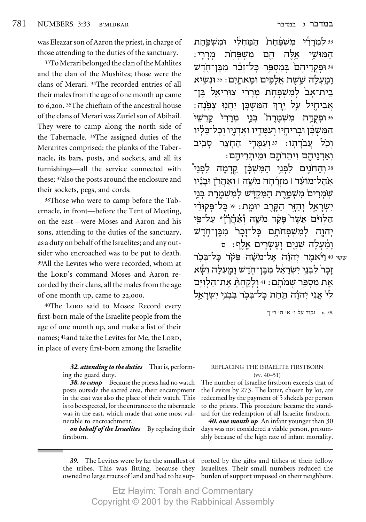was Eleazar son of Aaron the priest, in charge of those attending to the duties of the sanctuary.

33To Merari belonged the clan of the Mahlites and the clan of the Mushites; those were the clans of Merari. 34The recorded entries of all their males from the age of one month up came to 6,200. <sup>35</sup>The chieftain of the ancestral house of the clans of Merari was Zuriel son of Abihail. They were to camp along the north side of the Tabernacle. 36The assigned duties of the Merarites comprised: the planks of the Tabernacle, its bars, posts, and sockets, and all its furnishings—all the service connected with these; 37also the posts around the enclosure and their sockets, pegs, and cords.

38Those who were to camp before the Tabernacle, in front—before the Tent of Meeting, on the east—were Moses and Aaron and his sons, attending to the duties of the sanctuary, as a duty on behalf of the Israelites; and any outsider who encroached was to be put to death. 39All the Levites who were recorded, whom at the LORD's command Moses and Aaron recorded by their clans, all the males from the age of one month up, came to 22,000.

40The LORD said to Moses: Record every first-born male of the Israelite people from the age of one month up, and make a list of their names; <sup>41</sup>and take the Levites for Me, the LORD, in place of every first-born among the Israelite

> *32. attending to the duties* That is, performing the guard duty.

> 38. to camp Because the priests had no watch posts outside the sacred area, their encampment in the east was also the place of their watch. This is to be expected, for the entrance to the tabernacle was in the east, which made that zone most vulnerable to encroachment.

> *on behalf of the Israelites* By replacing their firstborn.

<sup>33</sup> למִרַרְّי מִשְׁפֵּחַת הַמֵּחִלִי וּמִשְׁפֵּחַת :ȯ¯Ó ˙ÁtLÓ Ì‰ ‰l ¦« §¨ <sup>Ÿ</sup> ‡ ÈLen‰©¦®¥¬¤¥−¦§§¬ L"Á-ÔaÓ ¯ÎÊ-Ïk ¯tÒÓa ̉Ȅ˜Ùe ¤Ÿ ¦¤− <sup>½</sup> §¦§©´¨¨¨ <sup>Æ</sup> §ª¥¤ <sup>34</sup>  $\bf i$ ַנמַעלה שֵׁשֶׁת אַלַפִּים וּמַאתַיִם : 35 וּנְשֵׂיא בית־אבׂ למשפּחת מררי צוּריאל בּז־ : אביחיל על ירך המֹשׂכּן יחנוּ צפנה <sup>Æ</sup>ÈL¯˜ ȯ¯Ó Èa ˙¯ÓLÓ ˙c˜Ùe ©§¥ <sup>¼</sup> §¥´§¨¦ » §ª©´¦§¤¤ <sup>36</sup> המשכו ובריחיו ועמדיו ואדניו וכל־כליו וכׂל עבׂדתוׄ: 37 ועמֵדי החצר סביב

: יִאַדְנֵיהֵם וִיתֵדוֹתֵם נִמֵיתְרֵיהֵם  $\check{\mathcal{C}}$ וּ וְהַחֹנֵים לִפְנֵי הַמַּשִׁכֵּן קַדְמַה לִפְנֵי אֹהֵל־מוֹעֵד | מִזוַרְחָה מֹשֵׁה | וְאַהָרֹן וּבַנַיו ֿשׂמִרִים מִשְׁמֱרֵת הַמִּקְדָּשׁ לְמִשְׁמֵרֵת בְּנֵי יִשׂרַאֵל וְהַזֵּר הַקָּרֵב יוּמֵת: 39 כַל־פִּקוּדִי .<br>הַלְוִיּם אֲשֶר בְּקַד משֶה <mark>וְאַהֲרָו</mark> צַל־פִּי À Ÿ יהוה למשפחתם כל־זכר` מבן־חדש <sup>Ò</sup> :Ûχ ÌȯNÚ ÌÈL ‰ÏÚÓÂ §¨§©¬¦§¤§¦−¨«¤ <sup>½</sup> ¨©

<sub>ّ</sub>ששי 40 נ<sup>ַ</sup>؋ٚאמֶר יִדוֹנָה אֱל־מֹשֶׁה פִקֹד בָּל־בִּכְר µַבַר לִבְנֵי יִשְׂרַאֵל מִבֵּן־חֹדֵשׁ וַמַעָלַה וְשֵׂא את מספּר שמׂתם : 11 ולקחתׄ את־הלויּם לי אֲנֵי יְהוֹה תַּחַת כַּל־בִּכֹר בִּבְנֵי יִשְׂרָאֵל

'Ô '¯ '‰ '‡ ' ÏÚ "˜ *v. 39.*

#### REPLACING THE ISRAELITE FIRSTBORN  $(vv. 40-51)$

The number of Israelite firstborn exceeds that of the Levites by 273. The latter, chosen by lot, are redeemed by the payment of 5 shekels per person to the priests. This procedure became the standard for the redemption of all Israelite firstborn.

*40. one month up* An infant younger than 30 days was not considered a viable person, presumably because of the high rate of infant mortality.

*39.* The Levites were by far the smallest of ported by the gifts and tithes of their fellow the tribes. This was fitting, because they Israelites. Their small numbers reduced the owned no large tracts of land and had to be sup-burden of support imposed on their neighbors.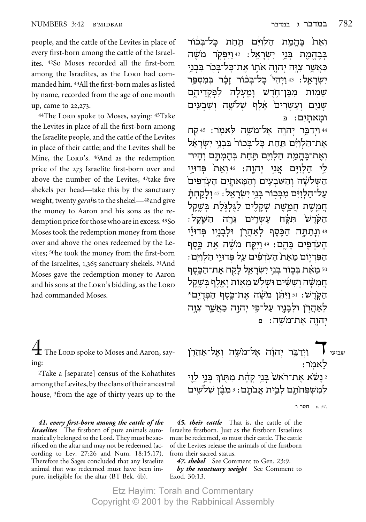people, and the cattle of the Levites in place of every first-born among the cattle of the Israelites. <sup>42</sup>So Moses recorded all the first-born among the Israelites, as the LORD had commanded him. <sup>43</sup>All the first-born males as listed by name, recorded from the age of one month up, came to 22,273.

44The LORD spoke to Moses, saying: 45Take the Levites in place of all the first-born among the Israelite people, and the cattle of the Levites in place of their cattle; and the Levites shall be Mine, the LORD's. 46And as the redemption price of the 273 Israelite first-born over and above the number of the Levites, <sup>47</sup>take five shekels per head—take this by the sanctuary weight, twenty gerahs to the shekel-48 and give the money to Aaron and his sons as the redemption price for those who are in excess. 49So Moses took the redemption money from those over and above the ones redeemed by the Levites; <sup>50</sup>he took the money from the first-born of the Israelites, 1,365 sanctuary shekels. <sup>51</sup>And Moses gave the redemption money to Aaron and his sons at the LORD's bidding, as the LORD had commanded Moses.

 $\mathbf{\mathbf{\pm}}$  The Lorp spoke to Moses and Aaron, saying:

<sup>2</sup>Take a [separate] census of the Kohathites among the Levites, by the clans of their ancestral house, <sup>3</sup>from the age of thirty years up to the

41. every first-born among the cattle of the **Israelites** The firstborn of pure animals automatically belonged to the Lord. They must be sacrificed on the altar and may not be redeemed (according to Lev. 27:26 and Num. 18:15,17). Therefore the Sages concluded that any Israelite animal that was redeemed must have been impure, ineligible for the altar (BT Bek. 4b).

ואת בהמת הלוים תחת כל־בכור בִּבְהֱמַת בְּנֵי יִשְׂרָאֱל: 42וַיִּפְקָד מֹשֶׁה כַּאֲשֶר צְוַּה יִהוָה אֹתו אֱת־כַּל־בִּכֹר בִּבְנֵי יִשְׂרָאֵל: 43 וַיְהִי כָל־בְּבוֹר זַבָר בְּמִסְפֵּר לפקדיהם שַׁמְוֹת מִבֵּן־חֹדֵשׁ וַמַעלַה שנים ועשרים אלף שלשה ושבעים וּמַאתֵיִם: פ

44 וַיִדַבֵּר יִהוָה אֵל־מֹשֵׁה לַאמֹר: 45 קח את־הלוים תחת כל־בכור בבני ישראל וְאֵת־בֶּהֱמַת הַלְוִיֵּם תַּחַת בְּהֵמְתֵּם וְהַיוּ־ לי הלוים אני יהוה: 46ואת פדויי הַשָּׁלשָׂה וְהַשָּׁבְעֵים וְהַמַּאתֵיִם הַעַדְפִים עַל־הַלְוִיָּּם מִבְּכוֹר בְּנֵי יִשְׂרָאֵל : 47 וְלַקַחְתַּ חמשת חמשת שקלים לגלגלת בשקל ּהַשַּׁקֵל תַּקַּח הקדש עֲשָׂרֵים גֵּרַה 48 ונתתה הכסף לאהרו ולבניו פדויי העדפים בהם: 49 ויקח משה את כסף הַפִּרְיוֹם מֵאֵת הַעָרִפִּים עַל פִּרוּיֵי הַלְוַיֵּם: ਾּ מֵאֵת בִּבְוֹר בִּנֵי יִשְׂרָאֵל לַקַח אֵת־הַכָּסֵף חמשה וששים ושלש מאות ואלף בשקל ּהַקְּרֵשׁ: וּיַרְיָּתֵן מֹשֶׁה אֲת־כֵּסֶף הַפְּדְיֵם\* לאהרו ולבניו על־פי יהוה כאשר צוה יהוה את־מ*שׁ*ה: פ

וידבר יהוה אל־משה ואל־אהרו לאמר: נשׂא את־ראש בני קהת מתוך בני לוי  $_2$ למשפחתם לבית אבתם: 3 מבן שלשים

י חסר ו'. $51$ 

45. their cattle That is, the cattle of the Israelite firstborn. Just as the firstborn Israelites must be redeemed, so must their cattle. The cattle of the Levites release the animals of the firstborn from their sacred status.

47. shekel See Comment to Gen. 23:9. by the sanctuary weight See Comment to Exod. 30:13.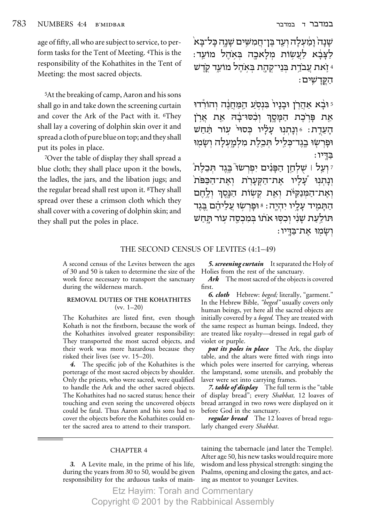age of fifty, all who are subject to service, to perform tasks for the Tent of Meeting. <sup>4</sup>This is the responsibility of the Kohathites in the Tent of Meeting: the most sacred objects.

<sup>5</sup>At the breaking of camp, Aaron and his sons shall go in and take down the screening curtain and cover the Ark of the Pact with it. <sup>6</sup>They shall lay a covering of dolphin skin over it and spread a cloth of pure blue on top; and they shall put its poles in place.

7Over the table of display they shall spread a blue cloth; they shall place upon it the bowls, the ladles, the jars, and the libation jugs; and the regular bread shall rest upon it. <sup>8</sup>They shall spread over these a crimson cloth which they shall cover with a covering of dolphin skin; and they shall put the poles in place.

שַׁנַה וַמַּעלַה וְעַד בֵּן־חֲמִשֵׁים שַׁנַה כַּל־בַּא לצבא לעשות מלאכה באהל מועד: ּ זָאת עַבֹדְת בִּנֵי־קִהָת בִּאִהֶל מוֹעֵד קְדֶש ּהַקַּדַשִׁים

יּבָׁא אַהֲרֹן וּבַנַיוֹ בִּנְסְעַ הַמַּחֲנֶה וְהוֹרְדוּ ۚ אֵת פִּרְכֵת הַמָּסֶךְ וִכְסוּ־בָדְ אֵת אַרְןֹ הָעֲדֶת: 16ְנָתְנְוּ עָלָיוּ כִּסוּי עִוֹר תַּחֹש וּפִרְשָׂוּ בֵגֵד־כִּלֵיל תִּבְלֶת מִלְמַעָלַה וְשָׂמְוּ בדיו:

ז וְעֲל וּ שָׁלְחֵן הַפָּנִים יִפְרְשׂוּ בֵּגֵד הָּבֵלֶת וְנָתְנְוּ עָלָיו אֲת־הַקִּעֲרָׂת וְאֵת־הַכּפּוֹת וְאֵת־הַמְּנַקִּיּׂת וְאֵת קִשְׂוֹת הַנָּסֵךְ וְלֵהֵם הַתַּמִיד עַלֵיו יִהְיֵה: 8 וּפַרְשִׂוּ עֵלֵיהֵם בֵּגֶד הּוֹלַעַת שַׂנִי וְכִסֶּוּ אֹתוֹ בִּמְכְסֶה עוֹר הַחֲשׁ ושמו את־בדיו:

# THE SECOND CENSUS OF LEVITES (4:1-49)

A second census of the Levites between the ages of 30 and 50 is taken to determine the size of the work force necessary to transport the sanctuary during the wilderness march.

#### REMOVAL DUTIES OF THE KOHATHITES  $(vv. 1-20)$

The Kohathites are listed first, even though Kohath is not the firstborn, because the work of the Kohathites involved greater responsibility: They transported the most sacred objects, and their work was more hazardous because they risked their lives (see vv. 15–20).

4. The specific job of the Kohathites is the porterage of the most sacred objects by shoulder. Only the priests, who were sacred, were qualified to handle the Ark and the other sacred objects. The Kohathites had no sacred status; hence their touching and even seeing the uncovered objects could be fatal. Thus Aaron and his sons had to cover the objects before the Kohathites could enter the sacred area to attend to their transport.

5. screening curtain It separated the Holy of Holies from the rest of the sanctuary.

Ark The most sacred of the objects is covered first.

6. cloth Hebrew: beged; literally, "garment." In the Hebrew Bible, "beged" usually covers only human beings, yet here all the sacred objects are initially covered by a beged. They are treated with the same respect as human beings. Indeed, they are treated like royalty-dressed in regal garb of violet or purple.

*put its poles in place* The Ark, the display table, and the altars were fitted with rings into which poles were inserted for carrying, whereas the lampstand, some utensils, and probably the laver were set into carrying frames.

7. table of display The full term is the "table" of display bread"; every Shabbat, 12 loaves of bread arranged in two rows were displayed on it before God in the sanctuary.

*regular bread* The 12 loaves of bread regularly changed every Shabbat.

#### **CHAPTER 4**

3. A Levite male, in the prime of his life, during the years from 30 to 50, would be given responsibility for the arduous tasks of main-

taining the tabernacle (and later the Temple). After age 50, his new tasks would require more wisdom and less physical strength: singing the Psalms, opening and closing the gates, and acting as mentor to younger Levites.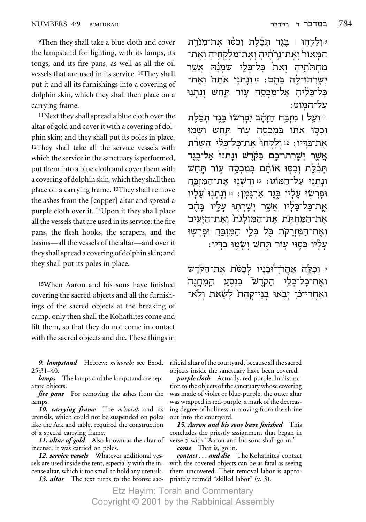9Then they shall take a blue cloth and cover the lampstand for lighting, with its lamps, its tongs, and its fire pans, as well as all the oil vessels that are used in its service. 10They shall put it and all its furnishings into a covering of dolphin skin, which they shall then place on a carrying frame.

11Next they shall spread a blue cloth over the altar of gold and cover it with a covering of dolphin skin; and they shall put its poles in place. 12They shall take all the service vessels with which the service in the sanctuary is performed, put them into a blue cloth and cover them with a covering of dolphin skin, which they shall then place on a carrying frame. 13They shall remove the ashes from the [copper] altar and spread a purple cloth over it. 14Upon it they shall place all the vessels that are used in its service: the fire pans, the flesh hooks, the scrapers, and the basins—all the vessels of the altar—and over it they shall spread a covering of dolphin skin; and they shall put its poles in place.

15When Aaron and his sons have finished covering the sacred objects and all the furnishings of the sacred objects at the breaking of camp, only then shall the Kohathites come and lift them, so that they do not come in contact with the sacred objects and die. These things in

*9. lampstand* Hebrew: *m'norah;* see Exod. 25:31–40.

*lamps* The lamps and the lampstand are separate objects.

*fire pans* For removing the ashes from the lamps.

*10. carrying frame* The *m'norah* and its utensils, which could not be suspended on poles like the Ark and table, required the construction of a special carrying frame.

*11. altar of gold* Also known as the altar of verse 5 with "Aaron and his sons shall go in." incense, it was carried on poles.

*12. service vessels* Whatever additional vessels are used inside the tent, especially with the incense altar, which is too small to hold any utensils.

*13. altar* The text turns to the bronze sac-

יּולַקחוּ | בֵּגֶד תִּבָּלֶת וִכְסוֹ אַת־מִנֹרֵת ֿדַמַּאוֹר<sup>י</sup> וְאֵת־נֵרֹתֵיהַ וְאֵת־מַלְקַחֵיהַ וְאֵת־ מַחִתּוֹתֵיהַ וְאֵת<sup>ֹ</sup> בַּל־כִּלֵי שַׁמְנַה אֲשֶר ישרתוּ־לַה בַּהֵם: 10 וְנַתְנִוּ אֹתָה וְאֵת־ בל־כּלֹיה אל־מכסה עוׄר תּחשׁ ונתנוּ : על־המוֹט

 $\,$ וּ וְעֲל | מִזְבֵּח הַזַּהֵב יִפְרְשֹוּ בֵּגד תּכֹלת וִכִסֶּוּ אֹתוֹ בִּמִכְסֶה עוֹר תַּחַשׁ וְשַׂמוּ את־בּדּיו∶ 12 ולקחו<sup>י</sup> את־כּל־כּלׂי השׁרׄת אַשֵר יִשָרְתוּ־בֶם בַּקֹּדֵשׁ וְנַתְנוּ אֵל־בֵּגֵד הכלת וכסו אותם במכסה עור תחש ונַתְנוּ עַל־הַמּוֹט: 13 וִדְשְׁנוּ אַת־הַמּוְבֵּח ֿוּפַרְשׂוּ עַלַיו בֵּגֵד אַרְגַּמֵן: 14 וְנַתְנִוּ עַלַיו אַת־כַּל־כֵּלֵּיוּ אֲשֶׁר יֵשַׁרְתָוּ עַלַיוּ בַּהֶם את־המחתת את־המולגת ואת־היעים ואת־המזרקׂׂת כל כלי המזבח ופרשו : עַלֹיו כִּסֶוּי עוֹר הַחֲשׁ וְשַׂמִוּ בַדֵּיו

נו וְכָלֵה אֲהֲרֹן־וּבְנַיו לְכָסֹת אֲת־הַקֹּדֹש " ואת־כּל־כּלי הקֹדש<sup>״</sup> בּנסע המחנה יאחרי־כו יבֹאוּ בני־קהת<sup>ֹ</sup> לשֹׁאת ולֹא־

rificial altar of the courtyard, because all the sacred objects inside the sanctuary have been covered.

*purple cloth* Actually, red-purple. In distinction to the objects of the sanctuary whose covering was made of violet or blue-purple, the outer altar was wrapped in red-purple, a mark of the decreasing degree of holiness in moving from the shrine out into the courtyard.

*15. Aaron and his sons have finished* This concludes the priestly assignment that began in

*come* That is, go in.

*contact . . . and die* The Kohathites' contact with the covered objects can be as fatal as seeing them uncovered. Their removal labor is appropriately termed "skilled labor" (v. 3).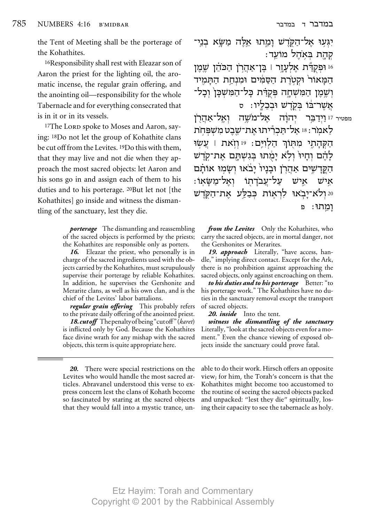the Tent of Meeting shall be the porterage of the Kohathites.

<sup>16</sup>Responsibility shall rest with Eleazar son of Aaron the priest for the lighting oil, the aromatic incense, the regular grain offering, and the anointing oil—responsibility for the whole Tabernacle and for everything consecrated that is in it or in its vessels.

<sup>17</sup>The LORD spoke to Moses and Aaron, saying: <sup>18</sup>Do not let the group of Kohathite clans be cut off from the Levites. 19Do this with them, that they may live and not die when they approach the most sacred objects: let Aaron and his sons go in and assign each of them to his duties and to his porterage. 20But let not [the Kohathites] go inside and witness the dismantling of the sanctuary, lest they die.

> **porterage** The dismantling and reassembling of the sacred objects is performed by the priests; the Kohathites are responsible only as porters.

> 16. Eleazar the priest, who personally is in charge of the sacred ingredients used with the objects carried by the Kohathites, must scrupulously supervise their porterage by reliable Kohathites. In addition, he supervises the Gershonite and Merarite clans, as well as his own clan, and is the chief of the Levites' labor battalions.

> regular grain offering This probably refers to the private daily offering of the anointed priest.

> **18. cut off** The penalty of being "cut off" (karet) is inflicted only by God. Because the Kohathites face divine wrath for any mishap with the sacred objects, this term is quite appropriate here.

יִגְּעָוּ אֵל־הַקְרֵשׁ וַמֵתוּ א<u>ֵלָ</u>ה מַשַׂא בני־ קְהָת בְּאֹהֶל מוֹעֵד:

י וּפִקְדַּת אֵלְעָזֶר וּ בֶּן־אַהַרְן הַכּוֹ<u>יָן</u> שֶׁמֶן וּ הַמַּאוֹר וּקִטְרֶת הַסַּמִּים וּמִנְחֲת הַתַּמִיד וְשֶׁמֶן הַמִּשְׁחַה פִּקְרָּת כַּל־הַמִּשְׁכֵּן וְכָל־ אֲשֶׁר־בוֹ בִּקְדָשׁ וּבְבֶלֵיו: ס

מפטיר <sup>17</sup> [יִדַבֵּר יִהוַֹה אֵל־מֹשֵׁה וְאֵל־אהרֹן לַאמר: 18 אַל־תַּבְרִיתוּ אַת־שֶׁבֵט מִשִׁפְּחֹת הקהתי מתוֹךְ הלוים: 19 וזֹאת | עשׂוּ לַהֵם וְחַיוּ וְלָא יַמְתוּ בְּגִשְׁתֵּם אֲת־קָדֶש הַקֵּדַשִׁים אַהֲרֹן וּבְנַיוֹ יַבֹּאוּ וִשָׂמוּ אוֹתַם ּעַל־עֲבֹדַתוֹ וְאֵל־מַשָּׂאוֹ: אַיש איש 20 ולא־יַבְאוּ לְרְאֵוֹת כִּבְלֵּע אֲת־הַקְרֵשׁ Þ וַמֵתוּ:

from the Levites Only the Kohathites, who carry the sacred objects, are in mortal danger, not the Gershonites or Merarites.

19. approach Literally, "have access, handle," implying direct contact. Except for the Ark, there is no prohibition against approaching the sacred objects, only against encroaching on them.

to his duties and to his porterage Better: "to his porterage work." The Kohathites have no duties in the sanctuary removal except the transport of sacred objects.

20. inside Into the tent.

witness the dismantling of the sanctuary Literally, "look at the sacred objects even for a moment." Even the chance viewing of exposed objects inside the sanctuary could prove fatal.

20. There were special restrictions on the Levites who would handle the most sacred articles. Abravanel understood this verse to express concern lest the clans of Kohath become so fascinated by staring at the sacred objects that they would fall into a mystic trance, unable to do their work. Hirsch offers an opposite view; for him, the Torah's concern is that the Kohathites might become too accustomed to the routine of seeing the sacred objects packed and unpacked: "lest they die" spiritually, losing their capacity to see the tabernacle as holy.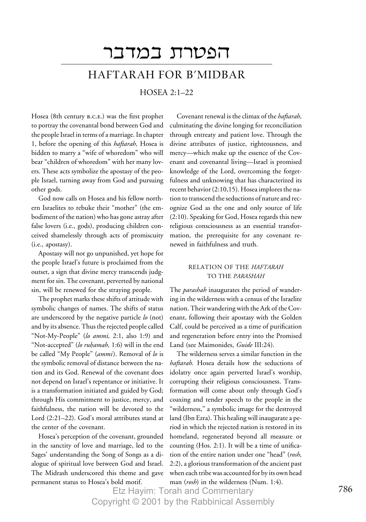# הפטרת במדבר HAFTARAH FOR B'MIDBAR

# HOSEA 2:1–22

Hosea (8th century B.C.E.) was the first prophet to portray the covenantal bond between God and the people Israel in terms of a marriage. In chapter 1, before the opening of this *haftarah,* Hosea is bidden to marry a "wife of whoredom" who will bear "children of whoredom" with her many lovers. These acts symbolize the apostasy of the people Israel, turning away from God and pursuing other gods.

God now calls on Hosea and his fellow northern Israelites to rebuke their "mother" (the embodiment of the nation) who has gone astray after false lovers (i.e., gods), producing children conceived shamelessly through acts of promiscuity (i.e., apostasy).

Apostasy will not go unpunished, yet hope for the people Israel's future is proclaimed from the outset, a sign that divine mercy transcends judgment for sin. The covenant, perverted by national sin, will be renewed for the straying people.

The prophet marks these shifts of attitude with symbolic changes of names. The shifts of status are underscored by the negative particle *lo* (not) and by its absence. Thus the rejected people called "Not-My-People" (*lo ammi,* 2:1, also 1:9) and "Not-accepted" (*lo ruḥamah,* 1:6) will in the end<br>be called "My People" (*ammi*). Removal of *lo* is the symbolic removal of distance between the nation and its God. Renewal of the covenant does not depend on Israel's repentance or initiative. It is a transformation initiated and guided by God; through His commitment to justice, mercy, and faithfulness, the nation will be devoted to the Lord (2:21–22). God's moral attributes stand at the center of the covenant.

Hosea's perception of the covenant, grounded in the sanctity of love and marriage, led to the Sages' understanding the Song of Songs as a dialogue of spiritual love between God and Israel. The Midrash underscored this theme and gave permanent status to Hosea's bold motif.

Covenant renewal is the climax of the *haftarah,* culminating the divine longing for reconciliation through entreaty and patient love. Through the divine attributes of justice, righteousness, and mercy—which make up the essence of the Covenant and covenantal living—Israel is promised knowledge of the Lord, overcoming the forgetfulness and unknowing that has characterized its recent behavior (2:10,15). Hosea implores the nation to transcend the seductions of nature and recognize God as the one and only source of life (2:10). Speaking for God, Hosea regards this new religious consciousness as an essential transformation, the prerequisite for any covenant renewed in faithfulness and truth.

# RELATION OF THE *HAFTARAH* TO THE *PARASHAH*

The *parashah* inaugurates the period of wandering in the wilderness with a census of the Israelite nation. Their wandering with the Ark of the Covenant, following their apostasy with the Golden Calf, could be perceived as a time of purification and regeneration before entry into the Promised Land (see Maimonides, *Guide* III:24).

The wilderness serves a similar function in the *haftarah.* Hosea details how the seductions of idolatry once again perverted Israel's worship, corrupting their religious consciousness. Transformation will come about only through God's coaxing and tender speech to the people in the "wilderness," a symbolic image for the destroyed land (Ibn Ezra). This healing will inaugurate a period in which the rejected nation is restored in its homeland, regenerated beyond all measure or counting (Hos. 2:1). It will be a time of unification of the entire nation under one "head" (*rosh,* 2:2), a glorious transformation of the ancient past when each tribe was accounted for by its own head man (*rosh*) in the wilderness (Num. 1:4).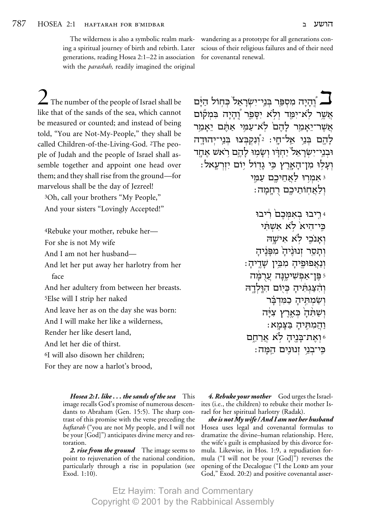The wilderness is also a symbolic realm marking a spiritual journey of birth and rebirth. Later generations, reading Hosea 2:1-22 in association with the *parashah*, readily imagined the original

wandering as a prototype for all generations conscious of their religious failures and of their need for covenantal renewal.

 $\sum$  The number of the people of Israel shall be like that of the sands of the sea, which cannot be measured or counted; and instead of being told, "You are Not-My-People," they shall be called Children-of-the-Living-God. 2The people of Judah and the people of Israel shall assemble together and appoint one head over them; and they shall rise from the ground—for marvelous shall be the day of Jezreel!

<sup>3</sup>Oh, call your brothers "My People," And your sisters "Lovingly Accepted!"

4Rebuke your mother, rebuke her-For she is not My wife And I am not her husband-And let her put away her harlotry from her face And her adultery from between her breasts. <sup>5</sup>Else will I strip her naked And leave her as on the day she was born: And I will make her like a wilderness, Render her like desert land, And let her die of thirst. <sup>6</sup>I will also disown her children;

For they are now a harlot's brood,

**Hosea 2:1. like... the sands of the sea** This image recalls God's promise of numerous descendants to Abraham (Gen. 15:5). The sharp contrast of this promise with the verse preceding the *haftarah* ("you are not My people, and I will not be your [God]") anticipates divine mercy and restoration.

2. rise from the ground The image seems to point to rejuvenation of the national condition, particularly through a rise in population (see Exod. 1:10).

ן וֹהַיַה מִסְפֵּר בִּנֵי־יִשְׂרָאֵל בְּחָוֹל הַיָּּם [ אשר לא־ימד ולא יַסַפֵר וָהַיַה בִּמְקוֹם אשר־יאמר להם לא־עמי אתם יאמר לָהֵם בְּנֵי אֵל־חָי: 2וְנִקְבָּצוּ בְּנֵי־יִהוּדֵה וּבְנֵי־יְשַׂרָאֵל יַחְדִּוּ וְשָׂמוּ לַהֱם רֹאשׁ אַחֲד וְעָלְוּ מִן־הָאָרֶץ כֵּי גַדְוֹל יִוֹם יִזְרְעֵאל: י אמרו לאחיכם עמי ולאחותיכם רחמה:

> 4 ריבוּ באמכם ריבוּ כּי־היא לא אשתי ואנכי לא אישה ותסר זנוּנׁיה מפּנֹיה וִנְאֵפוּפֵיהַ מִבֵּין שָׁדֵיהַ: ֿ פֵּן־אַפִ*ּשִׁיטֵנָּה* עֲרִמַּ*ה* והצגתיה כיום הולדה ושמתיה כמדבר וְשַׁתְּהַ כְּאֲרֶץ צְיַּה וַהֲמִתְּיהַ בַּצַּמַא: ן אַת־בַּנֵיהַ לֹא אֲרַחֵם כֵּי־בִנֵי זִנוּנֵים הֵמָּה:

4. Rebuke your mother God urges the Israelites (i.e., the children) to rebuke their mother Israel for her spiritual harlotry (Radak).

she is not My wife / And I am not her husband Hosea uses legal and covenantal formulas to dramatize the divine-human relationship. Here, the wife's guilt is emphasized by this divorce formula. Likewise, in Hos. 1:9, a repudiation formula ("I will not be your [God]") reverses the opening of the Decalogue ("I the LORD am your God," Exod. 20:2) and positive covenantal asser-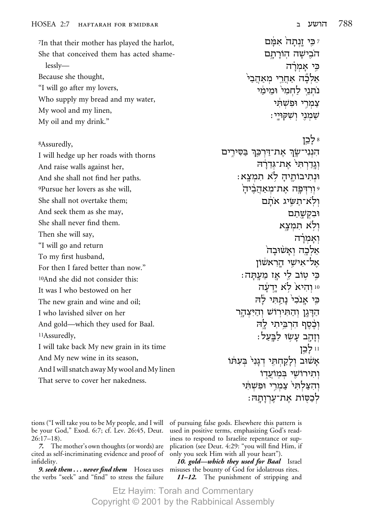7In that their mother has played the harlot, She that conceived them has acted shame $lessly$ Because she thought, "I will go after my lovers, Who supply my bread and my water, My wool and my linen, My oil and my drink."

<sup>8</sup>Assuredly,

I will hedge up her roads with thorns And raise walls against her, And she shall not find her paths. 9Pursue her lovers as she will, She shall not overtake them: And seek them as she may, She shall never find them. Then she will say, "I will go and return To my first husband, For then I fared better than now." 10And she did not consider this: It was I who bestowed on her The new grain and wine and oil; I who lavished silver on her And gold—which they used for Baal. <sup>11</sup>Assuredly, I will take back My new grain in its time And My new wine in its season, And I will snatch away My wool and My linen That serve to cover her nakedness.

ז כֵּי זֵנְתַה<sup>ֹ</sup> אִמַּם הֹבֶישָׁה הְוֹרָתָם כי אמרה אלכה אחרי מאהבי נתני לחמי ומימי צמרי ופשתי : שמני ושקויי 8 לכז הִנְנִי־שָׂךְ אֶת־דַּרְכֵּךְ בַּסִּירֶים וְגֵדַרְתִּי אֲת־גְּדֶרָה וּנְתִיבוֹתֵיהַ לֹא תִמְצָא: י ורדפה את־מאהביה ולא־תַשִׂיג אתם וּבִקְשַׁתַם ולא תמצא ואמרה אֵלְכָה וְאַשׁוּבַה אל־אישי הראשׂון כֵּי טְוֹב לֵי אֵז מֵעֲתָּה: 10 והיא<sup>י</sup> לא ידעה כֵּי אֲנֹכִי נַתֲתִּי לַה הַדְּגַן וְהַתְּיְרוֹשׁ וְהַיִּצְהָר וכסף הרביתי לה וְזָהָב עָשְׂוּ לַבֲעַל: 11 לכן אַשׁוּב וְלַקַחְתֵּי דְגַנִי בִּעָתּוֹ ותירושי במועדו וְהִצַלְתִּי צַמְרֵי וּפֹשׁתִּי לכסות את־ערותה:

tions ("I will take you to be My people, and I will be your God," Exod. 6:7; cf. Lev. 26:45, Deut.  $26:17-18$ .

7. The mother's own thoughts (or words) are cited as self-incriminating evidence and proof of infidelity.

**9. seek them... never find them**  $\;$  Hosea uses the verbs "seek" and "find" to stress the failure

of pursuing false gods. Elsewhere this pattern is used in positive terms, emphasizing God's readiness to respond to Israelite repentance or supplication (see Deut. 4:29: "you will find Him, if only you seek Him with all your heart").

10. gold—which they used for Baal Israel misuses the bounty of God for idolatrous rites. 11-12. The punishment of stripping and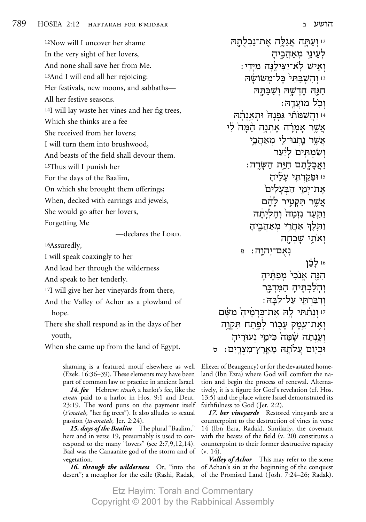12Now will I uncover her shame In the very sight of her lovers, And none shall save her from Me. 13And I will end all her rejoicing: Her festivals, new moons, and sabbaths— All her festive seasons. 14I will lay waste her vines and her fig trees, Which she thinks are a fee She received from her lovers; I will turn them into brushwood, And beasts of the field shall devour them. 15Thus will I punish her For the days of the Baalim, On which she brought them offerings; When, decked with earrings and jewels, She would go after her lovers,

Forgetting Me

-declares the LORD.

16Assuredly,

I will speak coaxingly to her

And lead her through the wilderness

And speak to her tenderly.

17I will give her her vineyards from there,

And the Valley of Achor as a plowland of

hope.

There she shall respond as in the days of her youth,

When she came up from the land of Egypt.

shaming is a featured motif elsewhere as well (Ezek. 16:36–39). These elements may have been part of common law or practice in ancient Israel.

*14. fee* Hebrew: *etnah,* a harlot's fee, like the *etnan* paid to a harlot in Hos. 9:1 and Deut. 23:19. The word puns on the payment itself (*t'enatah,* "her fig trees"). It also alludes to sexual passion (*ta•anatah,* Jer. 2:24).

*15. days of the Baalim* The plural "Baalim," here and in verse 19, presumably is used to correspond to the many "lovers" (see 2:7,9,12,14). Baal was the Canaanite god of the storm and of vegetation.

desert"; a metaphor for the exile (Rashi, Radak, of the Promised Land (Josh. 7:24–26; Radak).

 $i$ וּ וְעַתֶּה אֲגַלֶּה אֶת־נַבִלְתָהּ לְעֵינֵי מִאֲהָבֵיהַ : וְאִישׁ לְא־יצילנה מיּדי ו והשבתי כל־משושה  $^{\rm i}$ תגה חדשה ושבתה :וכל מוֹעדה י והשמֹתי גפנה ותאנתה  $\,$ אֲשֵר אַמְרָה אֵתְנַה המה<sup>ֹ</sup> לי אשׁר נתנוּ־לי מאהבי וִשַׂמִתֵּים לִ<sup>וּ</sup>ער :‰"O‰ ˙iÁ Ì˙Ï·Â©£¨¨−©©©¬©¨¤« יו וּפָקַדִתֵּי עַליה את־ימי הבעלים<sup>`</sup> אשר תקטיר להם ותּעד נזמה ׁוחליתׄה ותּלֵךְ אַחֲרֵי מִאַהֲבֵיהָ ואתי שכחה נְאָם־יִהוַה: פ 16 **לכו** הנה אנכי<sup>י</sup> מפתיה והל⊂תיה המדבר :וִדִּבַּרִהְּי עַל־לְבֵּה ו ונתחי לה את־כּרמיה משם ואת־עמק עכור לפתח תק<u>ו</u>ה וְעֲנְתַה שַׁמַּה ׁבִּימֵי נִעוּרֵיהַ וכיום עלתה מארץ־מצרים∶ ס

Eliezer of Beaugency) or for the devastated homeland (Ibn Ezra) where God will comfort the nation and begin the process of renewal. Alternatively, it is a figure for God's revelation (cf. Hos. 13:5) and the place where Israel demonstrated its faithfulness to God (Jer. 2:2).

*17. her vineyards* Restored vineyards are a counterpoint to the destruction of vines in verse 14 (Ibn Ezra, Radak). Similarly, the covenant with the beasts of the field (v. 20) constitutes a counterpoint to their former destructive rapacity (v. 14).

16. through the wilderness Or, "into the of Achan's sin at the beginning of the conquest *Valley of Achor* This may refer to the scene